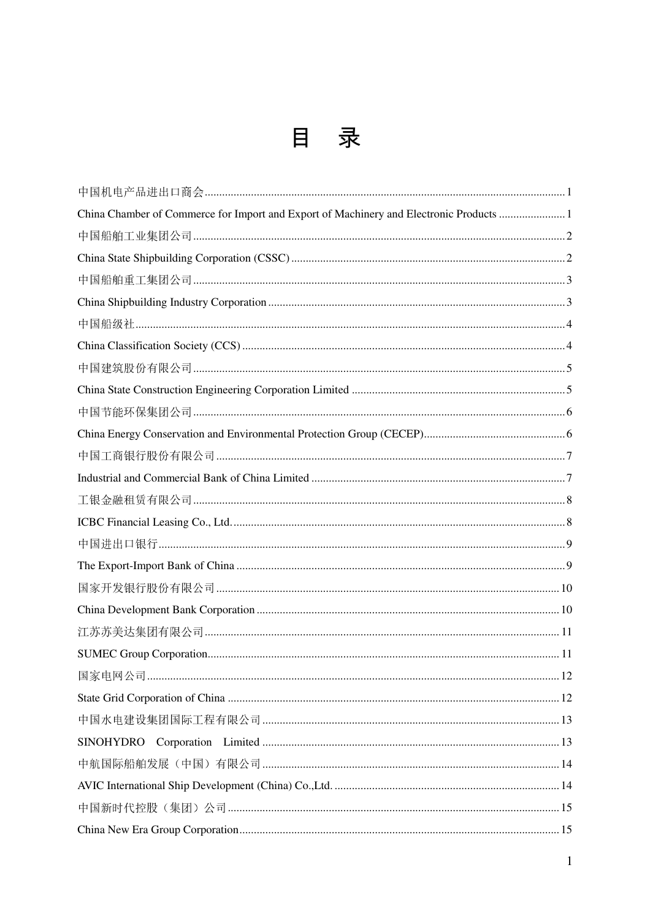| China Chamber of Commerce for Import and Export of Machinery and Electronic Products  1 |
|-----------------------------------------------------------------------------------------|
|                                                                                         |
|                                                                                         |
|                                                                                         |
|                                                                                         |
|                                                                                         |
|                                                                                         |
|                                                                                         |
|                                                                                         |
|                                                                                         |
|                                                                                         |
|                                                                                         |
|                                                                                         |
|                                                                                         |
|                                                                                         |
|                                                                                         |
|                                                                                         |
|                                                                                         |
|                                                                                         |
|                                                                                         |
|                                                                                         |
|                                                                                         |
|                                                                                         |
|                                                                                         |
|                                                                                         |
|                                                                                         |
|                                                                                         |
|                                                                                         |
|                                                                                         |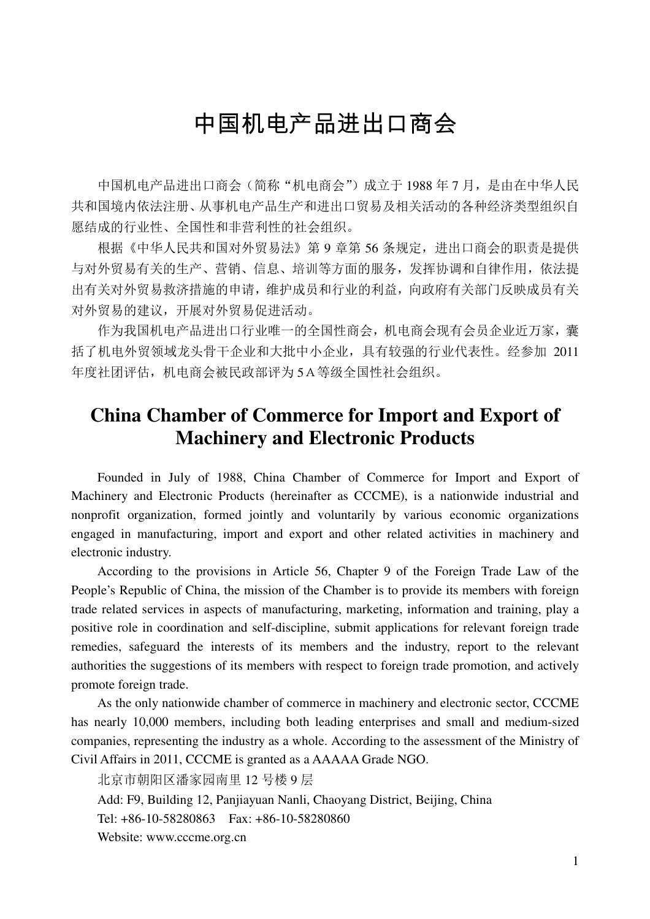# 中国机电产品进出口商会

中国机电产品进出口商会(简称"机电商会")成立于 1988 年 7 月,是由在中华人民 共和国境内依法注册、从事机电产品生产和进出口贸易及相关活动的各种经济类型组织自 愿结成的行业性、全国性和非营利性的社会组织。

根据《中华人民共和国对外贸易法》第9章第56条规定,进出口商会的职责是提供 与对外贸易有关的生产、营销、信息、培训等方面的服务,发挥协调和自律作用,依法提 出有关对外贸易救济措施的申请,维护成员和行业的利益,向政府有关部门反映成员有关 对外贸易的建议,开展对外贸易促进活动。

作为我国机电产品进出口行业唯一的全国性商会,机电商会现有会员企业近万家,囊 括了机电外贸领域龙头骨干企业和大批中小企业,具有较强的行业代表性。经参加 2011 年度社团评估,机电商会被民政部评为 5A等级全国性社会组织。

### **China Chamber of Commerce for Import and Export of Machinery and Electronic Products**

Founded in July of 1988, China Chamber of Commerce for Import and Export of Machinery and Electronic Products (hereinafter as CCCME), is a nationwide industrial and nonprofit organization, formed jointly and voluntarily by various economic organizations engaged in manufacturing, import and export and other related activities in machinery and electronic industry.

According to the provisions in Article 56, Chapter 9 of the Foreign Trade Law of the People's Republic of China, the mission of the Chamber is to provide its members with foreign trade related services in aspects of manufacturing, marketing, information and training, play a positive role in coordination and self-discipline, submit applications for relevant foreign trade remedies, safeguard the interests of its members and the industry, report to the relevant authorities the suggestions of its members with respect to foreign trade promotion, and actively promote foreign trade.

As the only nationwide chamber of commerce in machinery and electronic sector, CCCME has nearly 10,000 members, including both leading enterprises and small and medium-sized companies, representing the industry as a whole. According to the assessment of the Ministry of Civil Affairs in 2011, CCCME is granted as a AAAAA Grade NGO.

北京市朝阳区潘家园南里 12 号楼 9 层 Add: F9, Building 12, Panjiayuan Nanli, Chaoyang District, Beijing, China Tel: +86-10-58280863 Fax: +86-10-58280860 Website: www.cccme.org.cn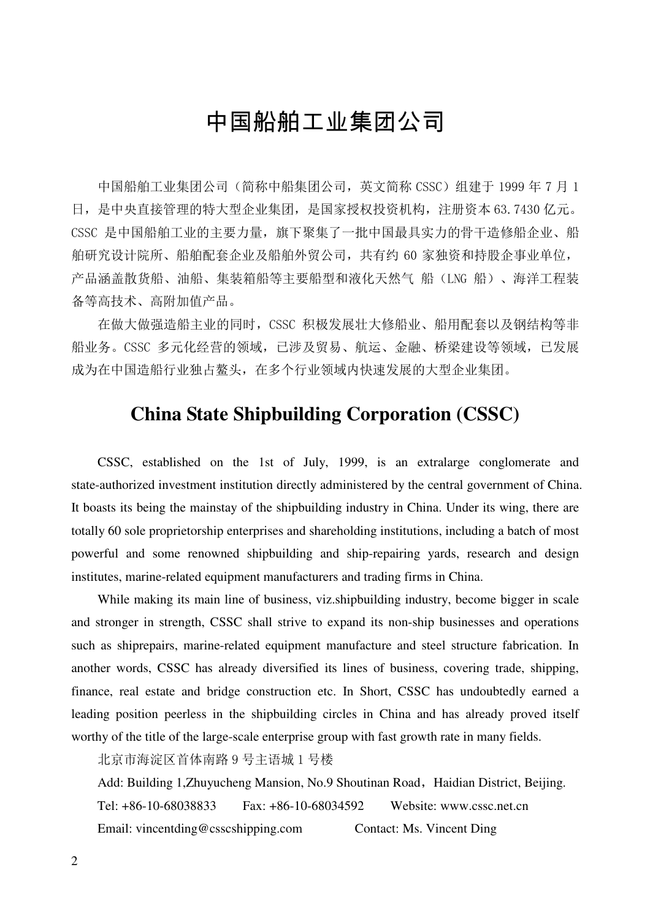### 中国船舶工业集团公司

中国船舶工业集团公司(简称中船集团公司,英文简称 CSSC)组建于 1999 年 7 月 1 日,是中央直接管理的特大型企业集团,是国家授权投资机构,注册资本 63.7430 亿元。 CSSC 是中国船舶工业的主要力量,旗下聚集了一批中国最具实力的骨干造修船企业、船 舶研究设计院所、船舶配套企业及船舶外贸公司,共有约 60 家独资和持股企事业单位, 产品涵盖散货船、油船、集装箱船等主要船型和液化天然气 船(LNG 船)、海洋工程装 备等高技术、高附加值产品。

在做大做强造船主业的同时,CSSC 积极发展壮大修船业、船用配套以及钢结构等非 船业务。CSSC 多元化经营的领域,已涉及贸易、航运、金融、桥梁建设等领域,已发展 成为在中国造船行业独占鳌头,在多个行业领域内快速发展的大型企业集团。

### **China State Shipbuilding Corporation (CSSC)**

CSSC, established on the 1st of July, 1999, is an extralarge conglomerate and state-authorized investment institution directly administered by the central government of China. It boasts its being the mainstay of the shipbuilding industry in China. Under its wing, there are totally 60 sole proprietorship enterprises and shareholding institutions, including a batch of most powerful and some renowned shipbuilding and ship-repairing yards, research and design institutes, marine-related equipment manufacturers and trading firms in China.

 While making its main line of business, viz.shipbuilding industry, become bigger in scale and stronger in strength, CSSC shall strive to expand its non-ship businesses and operations such as shiprepairs, marine-related equipment manufacture and steel structure fabrication. In another words, CSSC has already diversified its lines of business, covering trade, shipping, finance, real estate and bridge construction etc. In Short, CSSC has undoubtedly earned a leading position peerless in the shipbuilding circles in China and has already proved itself worthy of the title of the large-scale enterprise group with fast growth rate in many fields.

北京市海淀区首体南路 9 号主语城 1 号楼

Add: Building 1, Zhuyucheng Mansion, No.9 Shoutinan Road, Haidian District, Beijing. Tel: +86-10-68038833 Fax: +86-10-68034592 Website: www.cssc.net.cn Email: vincentding@csscshipping.com Contact: Ms. Vincent Ding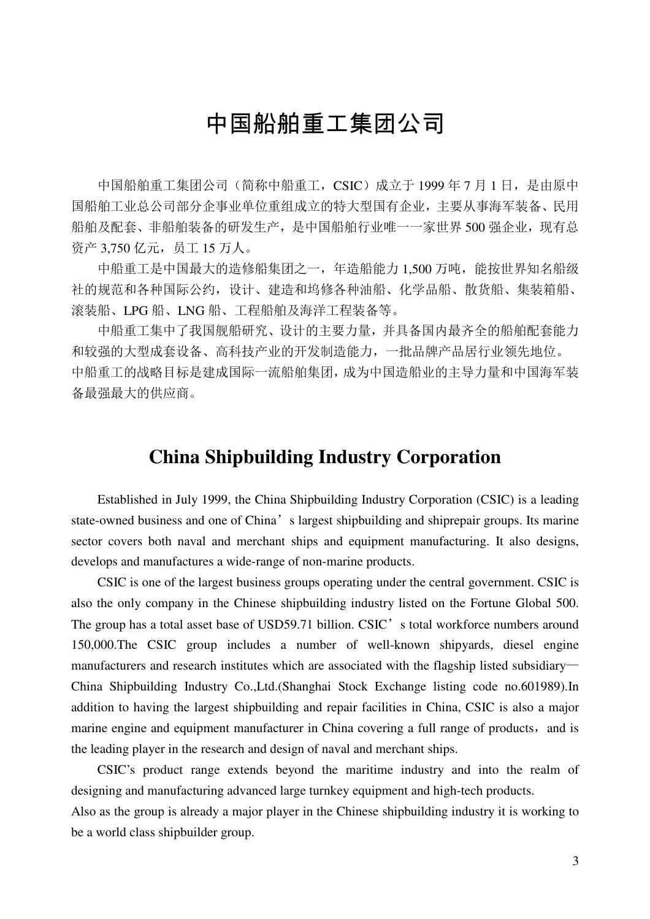## 中国船舶重工集团公司

中国船舶重工集团公司(简称中船重工, CSIC)成立于 1999 年 7 月 1 日, 是由原中 国船舶工业总公司部分企事业单位重组成立的特大型国有企业,主要从事海军装备、民用 船舶及配套、非船舶装备的研发生产,是中国船舶行业唯一一家世界 500 强企业,现有总 资产 3,750 亿元, 员工 15 万人。

中船重工是中国最大的造修船集团之一,年造船能力 1,500 万吨,能按世界知名船级 社的规范和各种国际公约,设计、建造和坞修各种油船、化学品船、散货船、集装箱船、 滚装船、LPG 船、LNG 船、工程船舶及海洋工程装备等。

中船重工集中了我国舰船研究、设计的主要力量,并具备国内最齐全的船舶配套能力 和较强的大型成套设备、高科技产业的开发制造能力,一批品牌产品居行业领先地位。 中船重工的战略目标是建成国际一流船舶集团,成为中国造船业的主导力量和中国海军装 备最强最大的供应商。

### **China Shipbuilding Industry Corporation**

Established in July 1999, the China Shipbuilding Industry Corporation (CSIC) is a leading state-owned business and one of China's largest shipbuilding and shiprepair groups. Its marine sector covers both naval and merchant ships and equipment manufacturing. It also designs, develops and manufactures a wide-range of non-marine products.

CSIC is one of the largest business groups operating under the central government. CSIC is also the only company in the Chinese shipbuilding industry listed on the Fortune Global 500. The group has a total asset base of USD59.71 billion. CSIC's total workforce numbers around 150,000.The CSIC group includes a number of well-known shipyards, diesel engine manufacturers and research institutes which are associated with the flagship listed subsidiary— China Shipbuilding Industry Co.,Ltd.(Shanghai Stock Exchange listing code no.601989).In addition to having the largest shipbuilding and repair facilities in China, CSIC is also a major marine engine and equipment manufacturer in China covering a full range of products, and is the leading player in the research and design of naval and merchant ships.

CSIC's product range extends beyond the maritime industry and into the realm of designing and manufacturing advanced large turnkey equipment and high-tech products.

Also as the group is already a major player in the Chinese shipbuilding industry it is working to be a world class shipbuilder group.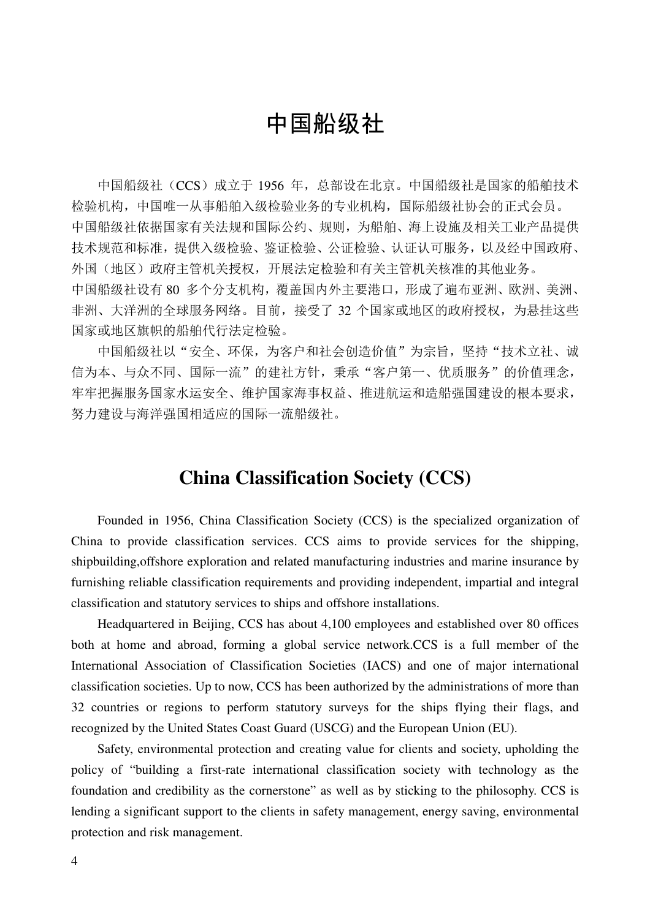### 中国船级社

中国船级社(CCS)成立于 1956 年, 总部设在北京。中国船级社是国家的船舶技术 检验机构,中国唯一从事船舶入级检验业务的专业机构,国际船级社协会的正式会员。 中国船级社依据国家有关法规和国际公约、规则,为船舶、海上设施及相关工业产品提供 技术规范和标准,提供入级检验、鉴证检验、公证检验、认证认可服务,以及经中国政府、 外国(地区)政府主管机关授权,开展法定检验和有关主管机关核准的其他业务。 中国船级社设有 80 多个分支机构,覆盖国内外主要港口,形成了遍布亚洲、欧洲、美洲、 非洲、大洋洲的全球服务网络。目前,接受了 32 个国家或地区的政府授权, 为悬挂这些 国家或地区旗帜的船舶代行法定检验。

中国船级社以"安全、环保,为客户和社会创造价值"为宗旨,坚持"技术立社、诚 信为本、与众不同、国际一流"的建社方针,秉承"客户第一、优质服务"的价值理念, 牢牢把握服务国家水运安全、维护国家海事权益、推进航运和造船强国建设的根本要求, 努力建设与海洋强国相适应的国际一流船级社。

### **China Classification Society (CCS)**

Founded in 1956, China Classification Society (CCS) is the specialized organization of China to provide classification services. CCS aims to provide services for the shipping, shipbuilding,offshore exploration and related manufacturing industries and marine insurance by furnishing reliable classification requirements and providing independent, impartial and integral classification and statutory services to ships and offshore installations.

Headquartered in Beijing, CCS has about 4,100 employees and established over 80 offices both at home and abroad, forming a global service network.CCS is a full member of the International Association of Classification Societies (IACS) and one of major international classification societies. Up to now, CCS has been authorized by the administrations of more than 32 countries or regions to perform statutory surveys for the ships flying their flags, and recognized by the United States Coast Guard (USCG) and the European Union (EU).

Safety, environmental protection and creating value for clients and society, upholding the policy of "building a first-rate international classification society with technology as the foundation and credibility as the cornerstone" as well as by sticking to the philosophy. CCS is lending a significant support to the clients in safety management, energy saving, environmental protection and risk management.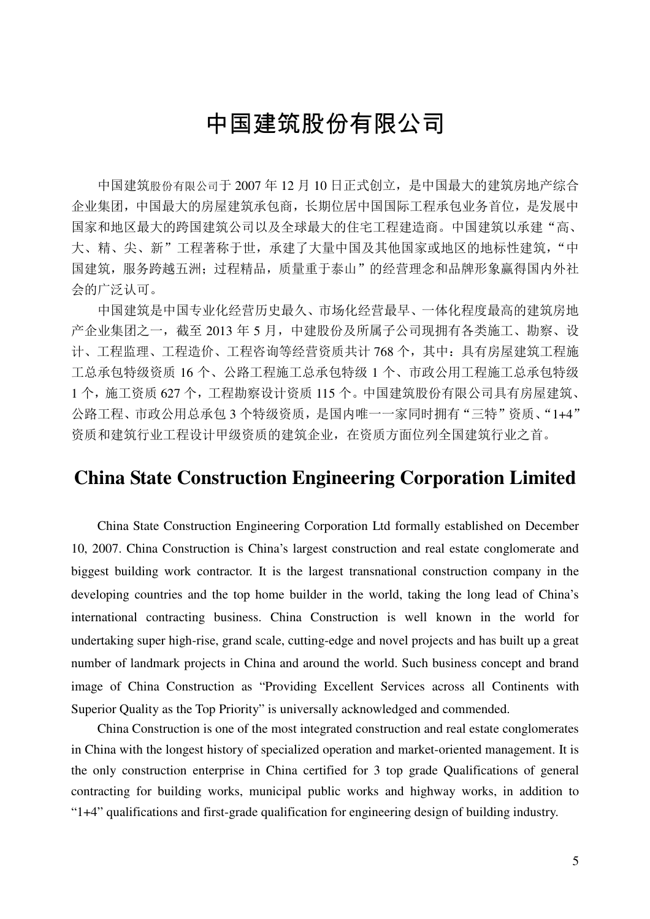## 中国建筑股份有限公司

中国建筑股份有限公司于 2007 年 12 月 10 日正式创立,是中国最大的建筑房地产综合 企业集团,中国最大的房屋建筑承包商,长期位居中国国际工程承包业务首位,是发展中 国家和地区最大的跨国建筑公司以及全球最大的住宅工程建造商。中国建筑以承建"高、 大、精、尖、新"工程著称于世,承建了大量中国及其他国家或地区的地标性建筑,"中 国建筑,服务跨越五洲;过程精品,质量重于泰山"的经营理念和品牌形象赢得国内外社 会的广泛认可。

中国建筑是中国专业化经营历史最久、市场化经营最早、一体化程度最高的建筑房地 产企业集团之一,截至 2013 年 5 月,中建股份及所属子公司现拥有各类施工、勘察、设 计、工程监理、工程造价、工程咨询等经营资质共计 768 个,其中:具有房屋建筑工程施 工总承包特级资质 16 个、公路工程施工总承包特级 1 个、市政公用工程施工总承包特级 1 个,施工资质 627 个,工程勘察设计资质 115 个。中国建筑股份有限公司具有房屋建筑、 公路工程、市政公用总承包 3 个特级资质,是国内唯一一家同时拥有"三特"资质、"1+4" 资质和建筑行业工程设计甲级资质的建筑企业,在资质方面位列全国建筑行业之首。

### **China State Construction Engineering Corporation Limited**

China State Construction Engineering Corporation Ltd formally established on December 10, 2007. China Construction is China's largest construction and real estate conglomerate and biggest building work contractor. It is the largest transnational construction company in the developing countries and the top home builder in the world, taking the long lead of China's international contracting business. China Construction is well known in the world for undertaking super high-rise, grand scale, cutting-edge and novel projects and has built up a great number of landmark projects in China and around the world. Such business concept and brand image of China Construction as "Providing Excellent Services across all Continents with Superior Quality as the Top Priority" is universally acknowledged and commended.

China Construction is one of the most integrated construction and real estate conglomerates in China with the longest history of specialized operation and market-oriented management. It is the only construction enterprise in China certified for 3 top grade Qualifications of general contracting for building works, municipal public works and highway works, in addition to "1+4" qualifications and first-grade qualification for engineering design of building industry.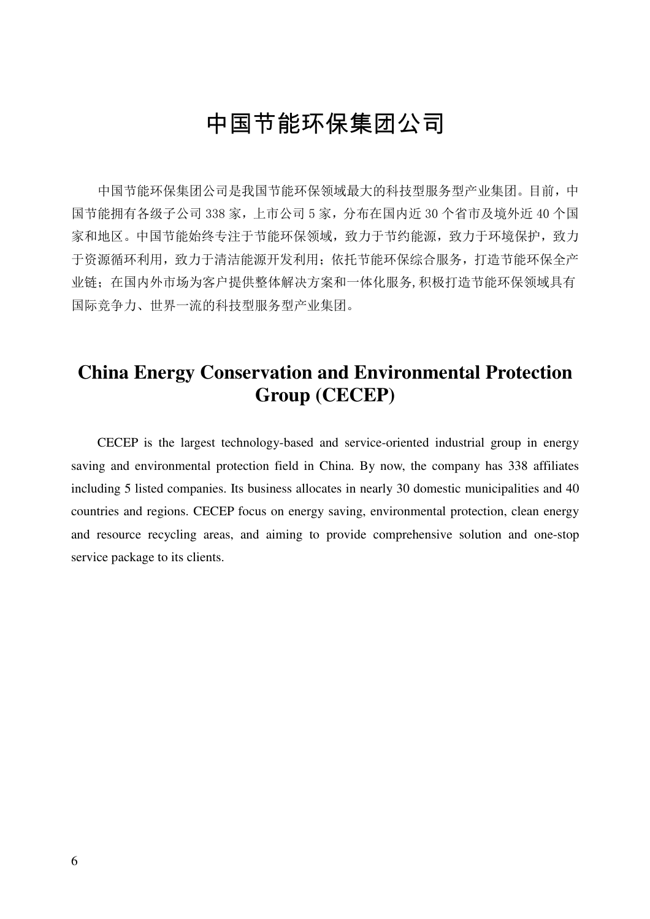## 中国节能环保集团公司

中国节能环保集团公司是我国节能环保领域最大的科技型服务型产业集团。目前,中 国节能拥有各级子公司 338 家,上市公司 5 家,分布在国内近 30 个省市及境外近 40 个国 家和地区。中国节能始终专注于节能环保领域,致力于节约能源,致力于环境保护,致力 于资源循环利用,致力于清洁能源开发利用;依托节能环保综合服务,打造节能环保全产 业链;在国内外市场为客户提供整体解决方案和一体化服务,积极打造节能环保领域具有 国际竞争力、世界一流的科技型服务型产业集团。

### **China Energy Conservation and Environmental Protection Group (CECEP)**

CECEP is the largest technology-based and service-oriented industrial group in energy saving and environmental protection field in China. By now, the company has 338 affiliates including 5 listed companies. Its business allocates in nearly 30 domestic municipalities and 40 countries and regions. CECEP focus on energy saving, environmental protection, clean energy and resource recycling areas, and aiming to provide comprehensive solution and one-stop service package to its clients.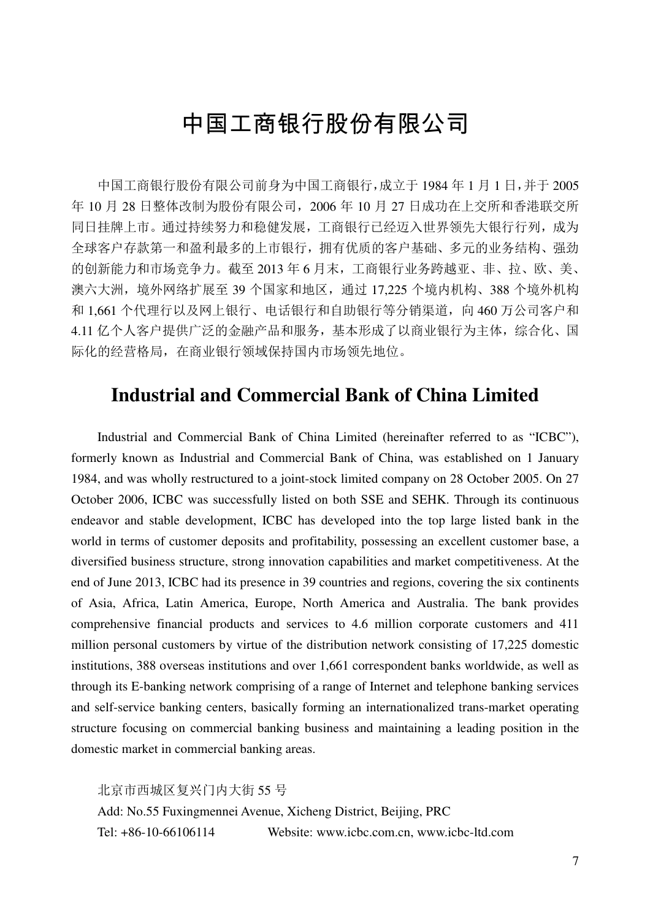# 中国工商银行股份有限公司

中国工商银行股份有限公司前身为中国工商银行,成立于 1984 年 1 月 1 日,并于 2005 年 10 月 28 日整体改制为股份有限公司,2006 年 10 月 27 日成功在上交所和香港联交所 同日挂牌上市。通过持续努力和稳健发展,工商银行已经迈入世界领先大银行行列,成为 全球客户存款第一和盈利最多的上市银行,拥有优质的客户基础、多元的业务结构、强劲 的创新能力和市场竞争力。截至 2013 年 6 月末,工商银行业务跨越亚、非、拉、欧、美、 澳六大洲,境外网络扩展至 39 个国家和地区,通过 17,225 个境内机构、388 个境外机构 和 1,661 个代理行以及网上银行、电话银行和自助银行等分销渠道,向 460 万公司客户和 4.11 亿个人客户提供广泛的金融产品和服务,基本形成了以商业银行为主体,综合化、国 际化的经营格局,在商业银行领域保持国内市场领先地位。

#### **Industrial and Commercial Bank of China Limited**

Industrial and Commercial Bank of China Limited (hereinafter referred to as "ICBC"), formerly known as Industrial and Commercial Bank of China, was established on 1 January 1984, and was wholly restructured to a joint-stock limited company on 28 October 2005. On 27 October 2006, ICBC was successfully listed on both SSE and SEHK. Through its continuous endeavor and stable development, ICBC has developed into the top large listed bank in the world in terms of customer deposits and profitability, possessing an excellent customer base, a diversified business structure, strong innovation capabilities and market competitiveness. At the end of June 2013, ICBC had its presence in 39 countries and regions, covering the six continents of Asia, Africa, Latin America, Europe, North America and Australia. The bank provides comprehensive financial products and services to 4.6 million corporate customers and 411 million personal customers by virtue of the distribution network consisting of 17,225 domestic institutions, 388 overseas institutions and over 1,661 correspondent banks worldwide, as well as through its E-banking network comprising of a range of Internet and telephone banking services and self-service banking centers, basically forming an internationalized trans-market operating structure focusing on commercial banking business and maintaining a leading position in the domestic market in commercial banking areas.

北京市西城区复兴门内大街 55 号 Add: No.55 Fuxingmennei Avenue, Xicheng District, Beijing, PRC Tel: +86-10-66106114 Website: www.icbc.com.cn, www.icbc-ltd.com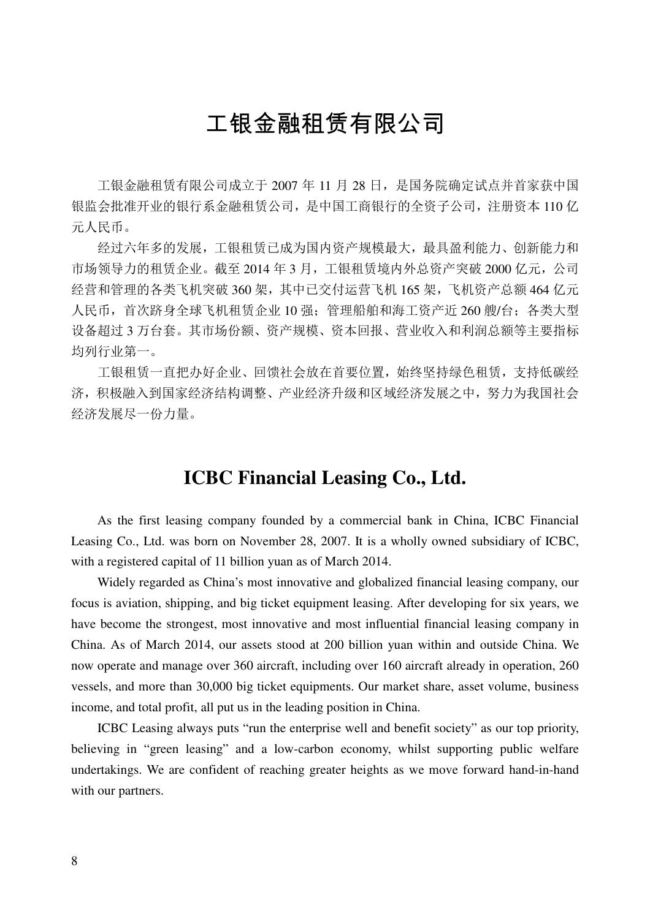## 工银金融租赁有限公司

工银金融租赁有限公司成立于 2007 年 11 月 28 日,是国务院确定试点并首家获中国 银监会批准开业的银行系金融租赁公司,是中国工商银行的全资子公司,注册资本 110 亿 元人民币。

经过六年多的发展,工银租赁已成为国内资产规模最大,最具盈利能力、创新能力和 市场领导力的租赁企业。截至 2014 年 3 月,工银租赁境内外总资产突破 2000 亿元,公司 经营和管理的各类飞机突破 360 架,其中已交付运营飞机 165 架,飞机资产总额 464 亿元 人民币,首次跻身全球飞机租赁企业 10 强;管理船舶和海工资产近 260 艘/台;各类大型 设备超过 3 万台套。其市场份额、资产规模、资本回报、营业收入和利润总额等主要指标 均列行业第一。

工银租赁一直把办好企业、回馈社会放在首要位置,始终坚持绿色租赁,支持低碳经 济,积极融入到国家经济结构调整、产业经济升级和区域经济发展之中,努力为我国社会 经济发展尽一份力量。

### **ICBC Financial Leasing Co., Ltd.**

As the first leasing company founded by a commercial bank in China, ICBC Financial Leasing Co., Ltd. was born on November 28, 2007. It is a wholly owned subsidiary of ICBC, with a registered capital of 11 billion yuan as of March 2014.

Widely regarded as China's most innovative and globalized financial leasing company, our focus is aviation, shipping, and big ticket equipment leasing. After developing for six years, we have become the strongest, most innovative and most influential financial leasing company in China. As of March 2014, our assets stood at 200 billion yuan within and outside China. We now operate and manage over 360 aircraft, including over 160 aircraft already in operation, 260 vessels, and more than 30,000 big ticket equipments. Our market share, asset volume, business income, and total profit, all put us in the leading position in China.

ICBC Leasing always puts "run the enterprise well and benefit society" as our top priority, believing in "green leasing" and a low-carbon economy, whilst supporting public welfare undertakings. We are confident of reaching greater heights as we move forward hand-in-hand with our partners.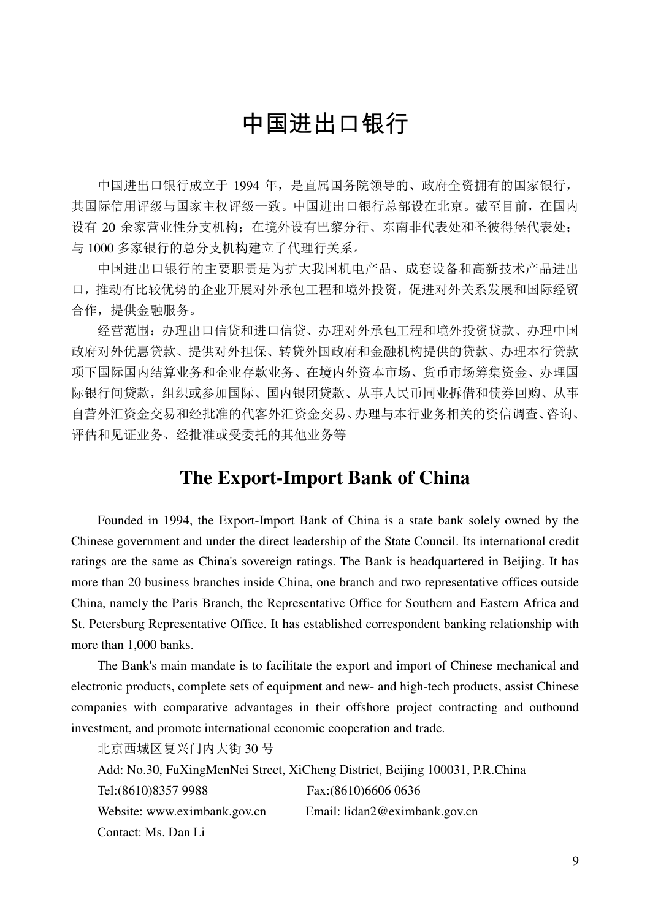## 中国进出口银行

中国进出口银行成立于 1994 年,是直属国务院领导的、政府全资拥有的国家银行, 其国际信用评级与国家主权评级一致。中国进出口银行总部设在北京。截至目前,在国内 设有 20 余家营业性分支机构; 在境外设有巴黎分行、东南非代表处和圣彼得堡代表处; 与 1000 多家银行的总分支机构建立了代理行关系。

中国进出口银行的主要职责是为扩大我国机电产品、成套设备和高新技术产品进出 口,推动有比较优势的企业开展对外承包工程和境外投资,促进对外关系发展和国际经贸 合作,提供金融服务。

经营范围:办理出口信贷和进口信贷、办理对外承包工程和境外投资贷款、办理中国 政府对外优惠贷款、提供对外担保、转贷外国政府和金融机构提供的贷款、办理本行贷款 项下国际国内结算业务和企业存款业务、在境内外资本市场、货币市场筹集资金、办理国 际银行间贷款,组织或参加国际、国内银团贷款、从事人民币同业拆借和债券回购、从事 自营外汇资金交易和经批准的代客外汇资金交易、办理与本行业务相关的资信调查、咨询、 评估和见证业务、经批准或受委托的其他业务等

#### **The Export-Import Bank of China**

Founded in 1994, the Export-Import Bank of China is a state bank solely owned by the Chinese government and under the direct leadership of the State Council. Its international credit ratings are the same as China's sovereign ratings. The Bank is headquartered in Beijing. It has more than 20 business branches inside China, one branch and two representative offices outside China, namely the Paris Branch, the Representative Office for Southern and Eastern Africa and St. Petersburg Representative Office. It has established correspondent banking relationship with more than 1,000 banks.

The Bank's main mandate is to facilitate the export and import of Chinese mechanical and electronic products, complete sets of equipment and new- and high-tech products, assist Chinese companies with comparative advantages in their offshore project contracting and outbound investment, and promote international economic cooperation and trade.

北京西城区复兴门内大街 30 号

Add: No.30, FuXingMenNei Street, XiCheng District, Beijing 100031, P.R.China Tel:(8610)8357 9988 Fax:(8610)6606 0636 Website: www.eximbank.gov.cn Email: lidan2@eximbank.gov.cn Contact: Ms. Dan Li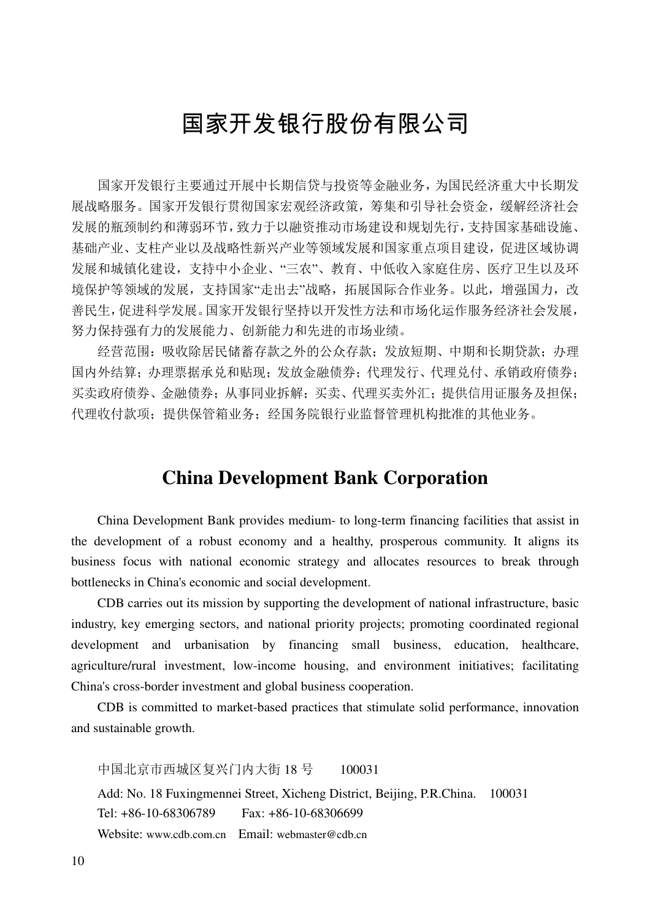## 国家开发银行股份有限公司

国家开发银行主要通过开展中长期信贷与投资等金融业务,为国民经济重大中长期发 展战略服务。国家开发银行贯彻国家宏观经济政策,筹集和引导社会资金,缓解经济社会 发展的瓶颈制约和薄弱环节,致力于以融资推动市场建设和规划先行,支持国家基础设施、 基础产业、支柱产业以及战略性新兴产业等领域发展和国家重点项目建设,促进区域协调 发展和城镇化建设,支持中小企业、"三农"、教育、中低收入家庭住房、医疗卫生以及环 境保护等领域的发展,支持国家"走出去"战略,拓展国际合作业务。以此,增强国力,改 善民生,促进科学发展。国家开发银行坚持以开发性方法和市场化运作服务经济社会发展, 努力保持强有力的发展能力、创新能力和先进的市场业绩。

经营范围:吸收除居民储蓄存款之外的公众存款;发放短期、中期和长期贷款;办理 国内外结算;办理票据承兑和贴现;发放金融债券;代理发行、代理兑付、承销政府债券; 买卖政府债券、金融债券;从事同业拆解;买卖、代理买卖外汇;提供信用证服务及担保; 代理收付款项;提供保管箱业务;经国务院银行业监督管理机构批准的其他业务。

#### **China Development Bank Corporation**

China Development Bank provides medium- to long-term financing facilities that assist in the development of a robust economy and a healthy, prosperous community. It aligns its business focus with national economic strategy and allocates resources to break through bottlenecks in China's economic and social development.

CDB carries out its mission by supporting the development of national infrastructure, basic industry, key emerging sectors, and national priority projects; promoting coordinated regional development and urbanisation by financing small business, education, healthcare, agriculture/rural investment, low-income housing, and environment initiatives; facilitating China's cross-border investment and global business cooperation.

CDB is committed to market-based practices that stimulate solid performance, innovation and sustainable growth.

中国北京市西城区复兴门内大街 18 号 100031

Add: No. 18 Fuxingmennei Street, Xicheng District, Beijing, P.R.China. 100031 Tel: +86-10-68306789 Fax: +86-10-68306699 Website: www.cdb.com.cn Email: webmaster@cdb.cn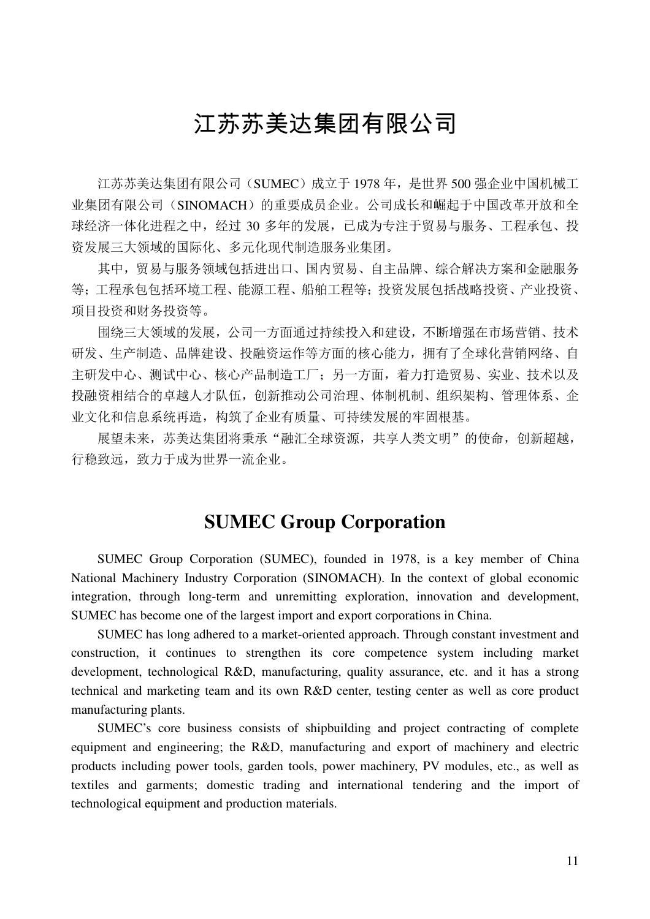### 江苏苏美达集团有限公司

江苏苏美达集团有限公司(SUMEC)成立于 1978 年,是世界 500 强企业中国机械工 业集团有限公司(SINOMACH)的重要成员企业。公司成长和崛起于中国改革开放和全 球经济一体化进程之中,经过 30 多年的发展,已成为专注于贸易与服务、工程承包、投 资发展三大领域的国际化、多元化现代制造服务业集团。

其中,贸易与服务领域包括进出口、国内贸易、自主品牌、综合解决方案和金融服务 等;工程承包包括环境工程、能源工程、船舶工程等;投资发展包括战略投资、产业投资、 项目投资和财务投资等。

围绕三大领域的发展,公司一方面通过持续投入和建设,不断增强在市场营销、技术 研发、生产制造、品牌建设、投融资运作等方面的核心能力,拥有了全球化营销网络、自 主研发中心、测试中心、核心产品制造工厂;另一方面,着力打造贸易、实业、技术以及 投融资相结合的卓越人才队伍,创新推动公司治理、体制机制、组织架构、管理体系、企 业文化和信息系统再造,构筑了企业有质量、可持续发展的牢固根基。

展望未来,苏美达集团将秉承"融汇全球资源,共享人类文明"的使命,创新超越, 行稳致远,致力于成为世界一流企业。

### **SUMEC Group Corporation**

SUMEC Group Corporation (SUMEC), founded in 1978, is a key member of China National Machinery Industry Corporation (SINOMACH). In the context of global economic integration, through long-term and unremitting exploration, innovation and development, SUMEC has become one of the largest import and export corporations in China.

SUMEC has long adhered to a market-oriented approach. Through constant investment and construction, it continues to strengthen its core competence system including market development, technological R&D, manufacturing, quality assurance, etc. and it has a strong technical and marketing team and its own R&D center, testing center as well as core product manufacturing plants.

SUMEC's core business consists of shipbuilding and project contracting of complete equipment and engineering; the R&D, manufacturing and export of machinery and electric products including power tools, garden tools, power machinery, PV modules, etc., as well as textiles and garments; domestic trading and international tendering and the import of technological equipment and production materials.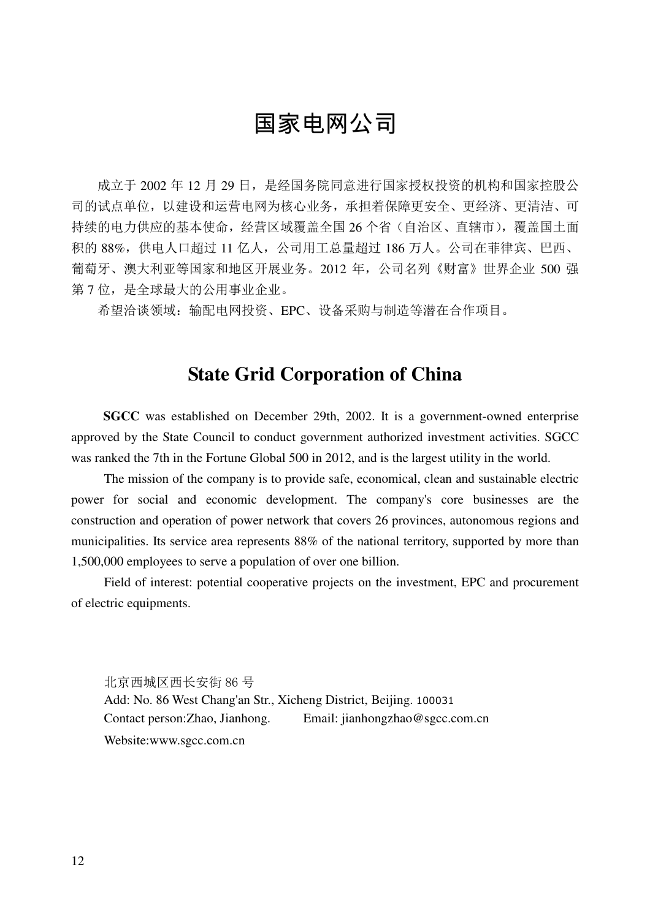## 国家电网公司

成立于 2002年12月 29日,是经国务院同意进行国家授权投资的机构和国家控股公 司的试点单位,以建设和运营电网为核心业务,承担着保障更安全、更经济、更清洁、可 持续的电力供应的基本使命,经营区域覆盖全国 26 个省(自治区、直辖市),覆盖国土面 积的 88%,供电人口超过 11 亿人,公司用工总量超过 186 万人。公司在菲律宾、巴西、 葡萄牙、澳大利亚等国家和地区开展业务。2012 年,公司名列《财富》世界企业 500 强 第 7 位, 是全球最大的公用事业企业。

希望洽谈领域:输配电网投资、EPC、设备采购与制造等潜在合作项目。

#### **State Grid Corporation of China**

**SGCC** was established on December 29th, 2002. It is a government-owned enterprise approved by the State Council to conduct government authorized investment activities. SGCC was ranked the 7th in the Fortune Global 500 in 2012, and is the largest utility in the world.

 The mission of the company is to provide safe, economical, clean and sustainable electric power for social and economic development. The company's core businesses are the construction and operation of power network that covers 26 provinces, autonomous regions and municipalities. Its service area represents 88% of the national territory, supported by more than 1,500,000 employees to serve a population of over one billion.

Field of interest: potential cooperative projects on the investment, EPC and procurement of electric equipments.

北京西城区西长安街 86 号 Add: No. 86 West Chang'an Str., Xicheng District, Beijing. 100031 Contact person:Zhao, Jianhong. Email: jianhongzhao@sgcc.com.cn Website:www.sgcc.com.cn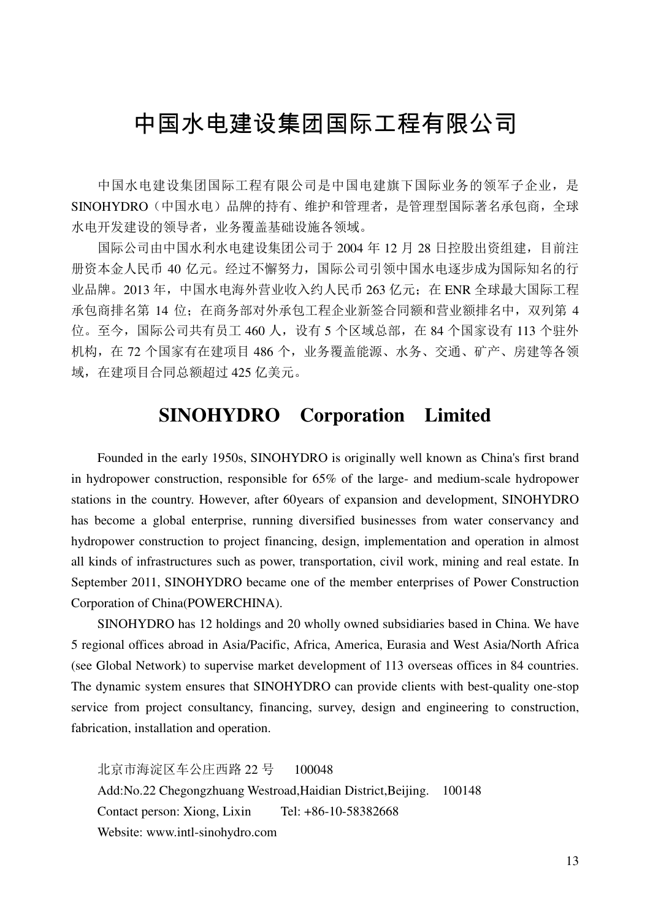### 中国水电建设集团国际工程有限公司

中国水电建设集团国际工程有限公司是中国电建旗下国际业务的领军子企业,是 SINOHYDRO(中国水电)品牌的持有、维护和管理者,是管理型国际著名承包商,全球 水电开发建设的领导者,业务覆盖基础设施各领域。

国际公司由中国水利水电建设集团公司于 2004 年 12 月 28 日控股出资组建,目前注 册资本金人民币 40 亿元。经过不懈努力,国际公司引领中国水电逐步成为国际知名的行 业品牌。2013年,中国水电海外营业收入约人民币 263 亿元; 在 ENR 全球最大国际工程 承包商排名第 14 位; 在商务部对外承包工程企业新签合同额和营业额排名中, 双列第 4 位。至今,国际公司共有员工 460 人,设有 5 个区域总部,在 84 个国家设有 113 个驻外 机构,在 72 个国家有在建项目 486 个,业务覆盖能源、水务、交通、矿产、房建等各领 域,在建项目合同总额超过 425 亿美元。

#### **SINOHYDRO Corporation Limited**

Founded in the early 1950s, SINOHYDRO is originally well known as China's first brand in hydropower construction, responsible for 65% of the large- and medium-scale hydropower stations in the country. However, after 60years of expansion and development, SINOHYDRO has become a global enterprise, running diversified businesses from water conservancy and hydropower construction to project financing, design, implementation and operation in almost all kinds of infrastructures such as power, transportation, civil work, mining and real estate. In September 2011, SINOHYDRO became one of the member enterprises of Power Construction Corporation of China(POWERCHINA).

SINOHYDRO has 12 holdings and 20 wholly owned subsidiaries based in China. We have 5 regional offices abroad in Asia/Pacific, Africa, America, Eurasia and West Asia/North Africa (see Global Network) to supervise market development of 113 overseas offices in 84 countries. The dynamic system ensures that SINOHYDRO can provide clients with best-quality one-stop service from project consultancy, financing, survey, design and engineering to construction, fabrication, installation and operation.

北京市海淀区车公庄西路 22 号 100048 Add:No.22 Chegongzhuang Westroad,Haidian District,Beijing. 100148 Contact person: Xiong, Lixin Tel: +86-10-58382668 Website: www.intl-sinohydro.com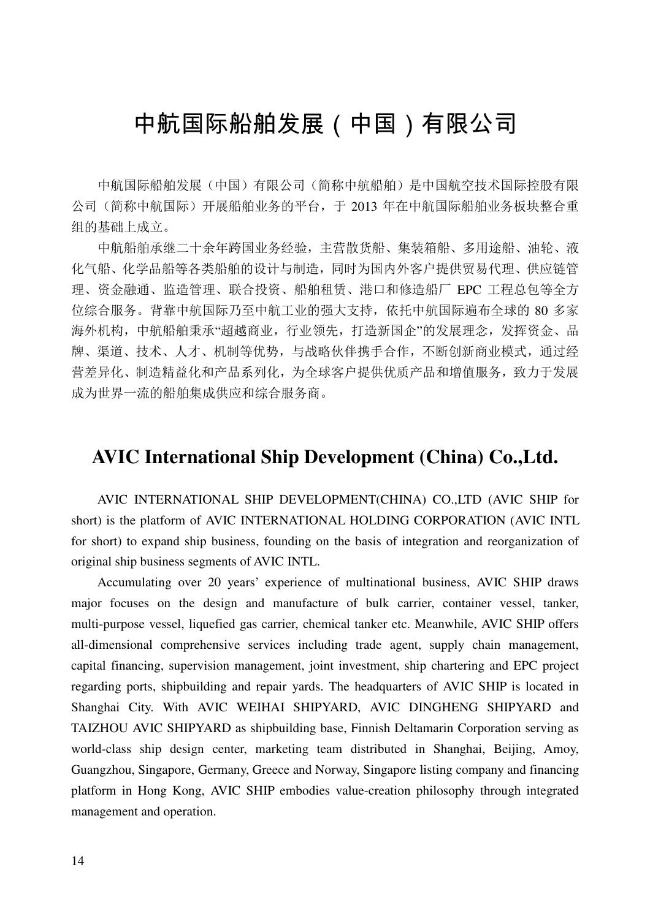# 中航国际船舶发展(中国)有限公司

中航国际船舶发展(中国)有限公司(简称中航船舶)是中国航空技术国际控股有限 公司(简称中航国际)开展船舶业务的平台,于 2013 年在中航国际船舶业务板块整合重 组的基础上成立。

中航船舶承继二十余年跨国业务经验,主营散货船、集装箱船、多用途船、油轮、液 化气船、化学品船等各类船舶的设计与制造,同时为国内外客户提供贸易代理、供应链管 理、资金融通、监造管理、联合投资、船舶租赁、港口和修造船厂 EPC 工程总包等全方 位综合服务。背靠中航国际乃至中航工业的强大支持,依托中航国际遍布全球的 80 多家 海外机构,中航船舶秉承"超越商业,行业领先,打造新国企"的发展理念,发挥资金、品 牌、渠道、技术、人才、机制等优势,与战略伙伴携手合作,不断创新商业模式,通过经 营差异化、制造精益化和产品系列化,为全球客户提供优质产品和增值服务,致力于发展 成为世界一流的船舶集成供应和综合服务商。

#### **AVIC International Ship Development (China) Co.,Ltd.**

AVIC INTERNATIONAL SHIP DEVELOPMENT(CHINA) CO.,LTD (AVIC SHIP for short) is the platform of AVIC INTERNATIONAL HOLDING CORPORATION (AVIC INTL for short) to expand ship business, founding on the basis of integration and reorganization of original ship business segments of AVIC INTL.

Accumulating over 20 years' experience of multinational business, AVIC SHIP draws major focuses on the design and manufacture of bulk carrier, container vessel, tanker, multi-purpose vessel, liquefied gas carrier, chemical tanker etc. Meanwhile, AVIC SHIP offers all-dimensional comprehensive services including trade agent, supply chain management, capital financing, supervision management, joint investment, ship chartering and EPC project regarding ports, shipbuilding and repair yards. The headquarters of AVIC SHIP is located in Shanghai City. With AVIC WEIHAI SHIPYARD, AVIC DINGHENG SHIPYARD and TAIZHOU AVIC SHIPYARD as shipbuilding base, Finnish Deltamarin Corporation serving as world-class ship design center, marketing team distributed in Shanghai, Beijing, Amoy, Guangzhou, Singapore, Germany, Greece and Norway, Singapore listing company and financing platform in Hong Kong, AVIC SHIP embodies value-creation philosophy through integrated management and operation.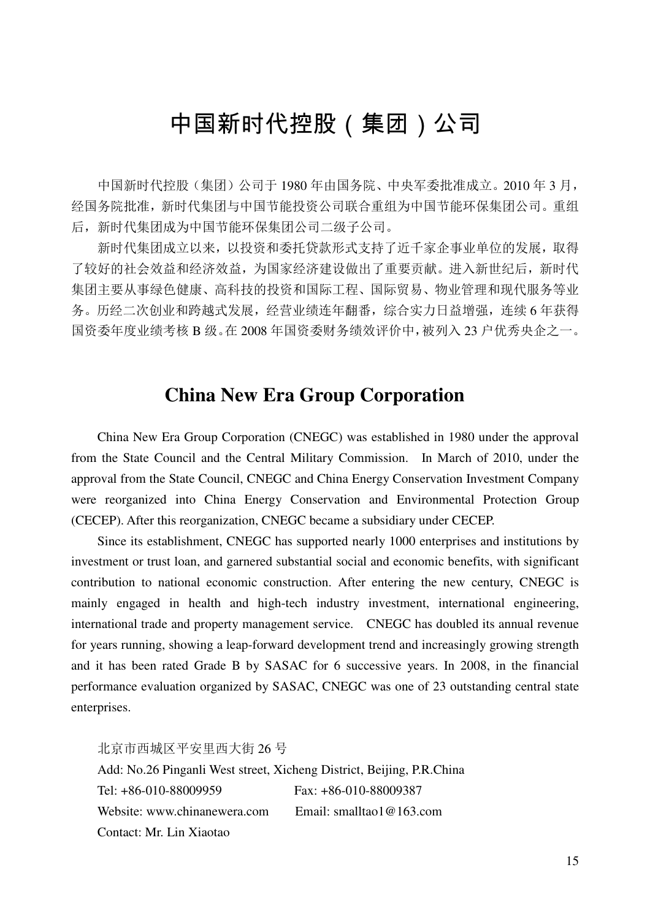# 中国新时代控股(集团)公司

中国新时代控股(集团)公司于 1980 年由国务院、中央军委批准成立。2010 年 3 月, 经国务院批准,新时代集团与中国节能投资公司联合重组为中国节能环保集团公司。重组 后,新时代集团成为中国节能环保集团公司二级子公司。

新时代集团成立以来,以投资和委托贷款形式支持了近千家企事业单位的发展,取得 了较好的社会效益和经济效益,为国家经济建设做出了重要贡献。进入新世纪后,新时代 集团主要从事绿色健康、高科技的投资和国际工程、国际贸易、物业管理和现代服务等业 务。历经二次创业和跨越式发展,经营业绩连年翻番,综合实力日益增强,连续 6 年获得 国资委年度业绩考核 B 级。在 2008 年国资委财务绩效评价中,被列入 23 户优秀央企之一。

#### **China New Era Group Corporation**

China New Era Group Corporation (CNEGC) was established in 1980 under the approval from the State Council and the Central Military Commission. In March of 2010, under the approval from the State Council, CNEGC and China Energy Conservation Investment Company were reorganized into China Energy Conservation and Environmental Protection Group (CECEP). After this reorganization, CNEGC became a subsidiary under CECEP.

Since its establishment, CNEGC has supported nearly 1000 enterprises and institutions by investment or trust loan, and garnered substantial social and economic benefits, with significant contribution to national economic construction. After entering the new century, CNEGC is mainly engaged in health and high-tech industry investment, international engineering, international trade and property management service. CNEGC has doubled its annual revenue for years running, showing a leap-forward development trend and increasingly growing strength and it has been rated Grade B by SASAC for 6 successive years. In 2008, in the financial performance evaluation organized by SASAC, CNEGC was one of 23 outstanding central state enterprises.

北京市西城区平安里西大街 26 号

Add: No.26 Pinganli West street, Xicheng District, Beijing, P.R.China Tel: +86-010-88009959 Fax: +86-010-88009387 Website: www.chinanewera.com Email: smalltao1@163.com Contact: Mr. Lin Xiaotao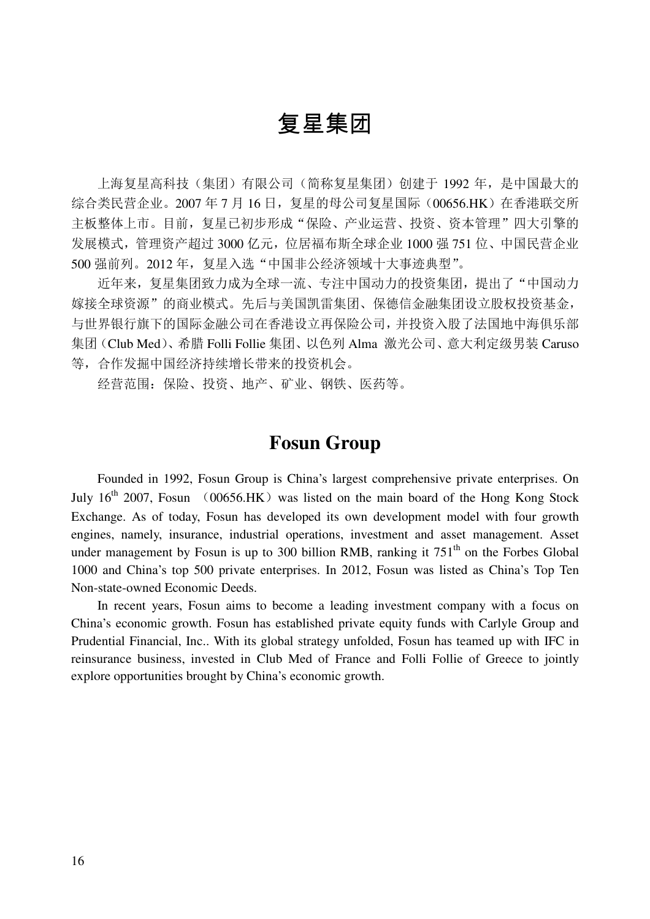### 复星集团

上海复星高科技(集团)有限公司(简称复星集团)创建于 1992 年,是中国最大的 综合类民营企业。2007年7月16日,复星的母公司复星国际(00656.HK)在香港联交所 主板整体上市。目前,复星已初步形成"保险、产业运营、投资、资本管理"四大引擎的 发展模式,管理资产超过 3000 亿元,位居福布斯全球企业 1000 强 751 位、中国民营企业 500 强前列。2012年, 复星入选"中国非公经济领域十大事迹典型"。

近年来,复星集团致力成为全球一流、专注中国动力的投资集团,提出了"中国动力 嫁接全球资源"的商业模式。先后与美国凯雷集团、保德信金融集团设立股权投资基金, 与世界银行旗下的国际金融公司在香港设立再保险公司,并投资入股了法国地中海俱乐部 集团(Club Med)、希腊 Folli Follie 集团、以色列 Alma 激光公司、意大利定级男装 Caruso 等,合作发掘中国经济持续增长带来的投资机会。

经营范围:保险、投资、地产、矿业、钢铁、医药等。

#### **Fosun Group**

Founded in 1992, Fosun Group is China's largest comprehensive private enterprises. On July 16<sup>th</sup> 2007, Fosun (00656.HK) was listed on the main board of the Hong Kong Stock Exchange. As of today, Fosun has developed its own development model with four growth engines, namely, insurance, industrial operations, investment and asset management. Asset under management by Fosun is up to 300 billion RMB, ranking it  $751<sup>th</sup>$  on the Forbes Global 1000 and China's top 500 private enterprises. In 2012, Fosun was listed as China's Top Ten Non-state-owned Economic Deeds.

In recent years, Fosun aims to become a leading investment company with a focus on China's economic growth. Fosun has established private equity funds with Carlyle Group and Prudential Financial, Inc.. With its global strategy unfolded, Fosun has teamed up with IFC in reinsurance business, invested in Club Med of France and Folli Follie of Greece to jointly explore opportunities brought by China's economic growth.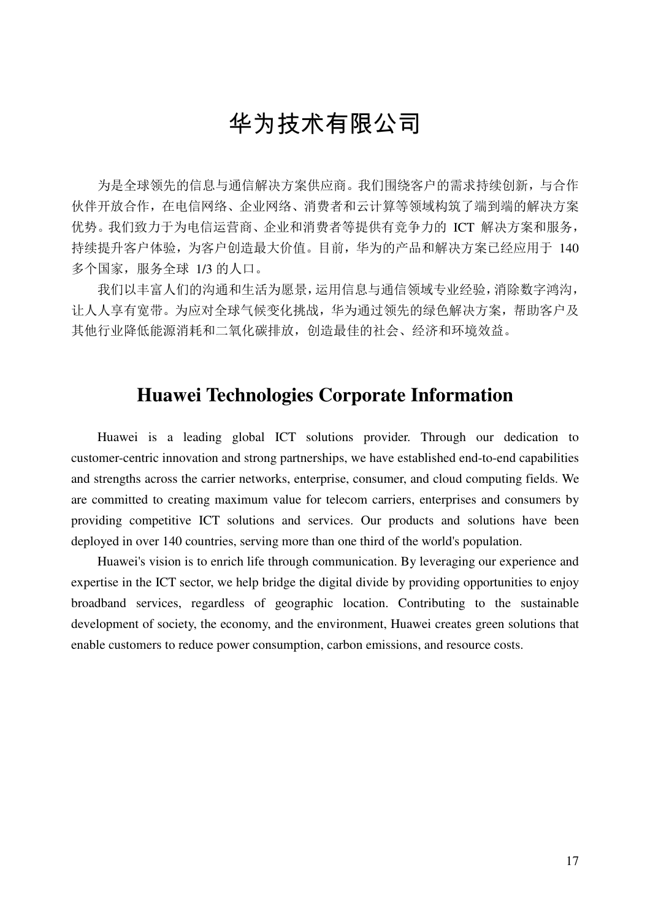# 华为技术有限公司

为是全球领先的信息与通信解决方案供应商。我们围绕客户的需求持续创新,与合作 伙伴开放合作,在电信网络、企业网络、消费者和云计算等领域构筑了端到端的解决方案 优势。我们致力于为电信运营商、企业和消费者等提供有竞争力的 ICT 解决方案和服务, 持续提升客户体验,为客户创造最大价值。目前,华为的产品和解决方案已经应用于 140 多个国家,服务全球 1/3 的人口。

我们以丰富人们的沟通和生活为愿景,运用信息与通信领域专业经验,消除数字鸿沟, 让人人享有宽带。为应对全球气候变化挑战,华为通过领先的绿色解决方案,帮助客户及 其他行业降低能源消耗和二氧化碳排放,创造最佳的社会、经济和环境效益。

### **Huawei Technologies Corporate Information**

Huawei is a leading global ICT solutions provider. Through our dedication to customer-centric innovation and strong partnerships, we have established end-to-end capabilities and strengths across the carrier networks, enterprise, consumer, and cloud computing fields. We are committed to creating maximum value for telecom carriers, enterprises and consumers by providing competitive ICT solutions and services. Our products and solutions have been deployed in over 140 countries, serving more than one third of the world's population.

Huawei's vision is to enrich life through communication. By leveraging our experience and expertise in the ICT sector, we help bridge the digital divide by providing opportunities to enjoy broadband services, regardless of geographic location. Contributing to the sustainable development of society, the economy, and the environment, Huawei creates green solutions that enable customers to reduce power consumption, carbon emissions, and resource costs.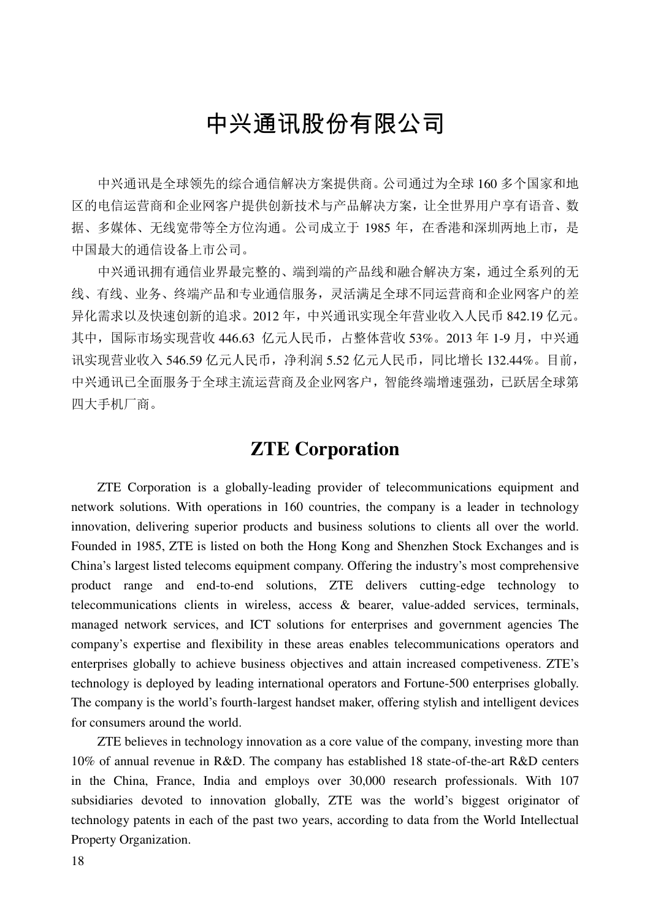# 中兴通讯股份有限公司

中兴通讯是全球领先的综合通信解决方案提供商。公司通过为全球 160 多个国家和地 区的电信运营商和企业网客户提供创新技术与产品解决方案,让全世界用户享有语音、数 据、多媒体、无线宽带等全方位沟通。公司成立于 1985 年, 在香港和深圳两地上市, 是 中国最大的通信设备上市公司。

中兴通讯拥有通信业界最完整的、端到端的产品线和融合解决方案,通过全系列的无 线、有线、业务、终端产品和专业通信服务,灵活满足全球不同运营商和企业网客户的差 异化需求以及快速创新的追求。2012 年,中兴通讯实现全年营业收入人民币 842.19 亿元。 其中,国际市场实现营收 446.63 亿元人民币,占整体营收 53%。2013 年 1-9 月,中兴通 讯实现营业收入 546.59 亿元人民币,净利润 5.52 亿元人民币,同比增长 132.44%。目前, 中兴通讯已全面服务于全球主流运营商及企业网客户,智能终端增速强劲,已跃居全球第 四大手机厂商。

#### **ZTE Corporation**

ZTE Corporation is a globally-leading provider of telecommunications equipment and network solutions. With operations in 160 countries, the company is a leader in technology innovation, delivering superior products and business solutions to clients all over the world. Founded in 1985, ZTE is listed on both the Hong Kong and Shenzhen Stock Exchanges and is China's largest listed telecoms equipment company. Offering the industry's most comprehensive product range and end-to-end solutions, ZTE delivers cutting-edge technology to telecommunications clients in wireless, access & bearer, value-added services, terminals, managed network services, and ICT solutions for enterprises and government agencies The company's expertise and flexibility in these areas enables telecommunications operators and enterprises globally to achieve business objectives and attain increased competiveness. ZTE's technology is deployed by leading international operators and Fortune-500 enterprises globally. The company is the world's fourth-largest handset maker, offering stylish and intelligent devices for consumers around the world.

ZTE believes in technology innovation as a core value of the company, investing more than 10% of annual revenue in R&D. The company has established 18 state-of-the-art R&D centers in the China, France, India and employs over 30,000 research professionals. With 107 subsidiaries devoted to innovation globally, ZTE was the world's biggest originator of technology patents in each of the past two years, according to data from the World Intellectual Property Organization.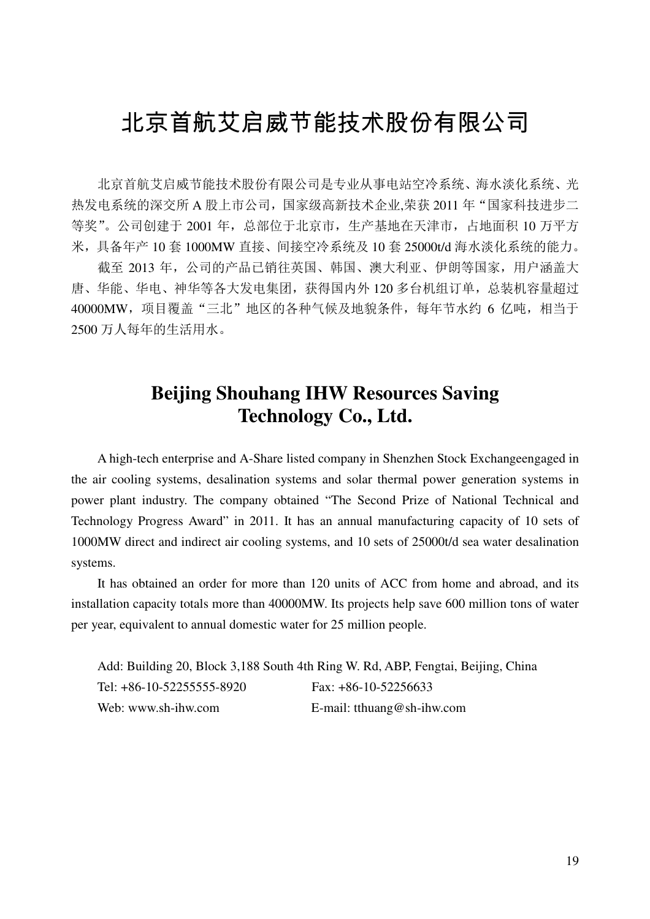## 北京首航艾启威节能技术股份有限公司

北京首航艾启威节能技术股份有限公司是专业从事电站空冷系统、海水淡化系统、光 热发电系统的深交所 A 股上市公司,国家级高新技术企业,荣获 2011 年"国家科技进步二 等奖"。公司创建于 2001 年,总部位于北京市,生产基地在天津市,占地面积 10 万平方 米,具备年产 10 套 1000MW 直接、间接空冷系统及 10 套 25000t/d 海水淡化系统的能力。

截至 2013年, 公司的产品已销往英国、韩国、澳大利亚、伊朗等国家,用户涵盖大 唐、华能、华电、神华等各大发电集团,获得国内外 120 多台机组订单,总装机容量超过 40000MW,项目覆盖"三北"地区的各种气候及地貌条件,每年节水约 6 亿吨,相当于 2500 万人每年的生活用水。

### **Beijing Shouhang IHW Resources Saving Technology Co., Ltd.**

A high-tech enterprise and A-Share listed company in Shenzhen Stock Exchangeengaged in the air cooling systems, desalination systems and solar thermal power generation systems in power plant industry. The company obtained "The Second Prize of National Technical and Technology Progress Award" in 2011. It has an annual manufacturing capacity of 10 sets of 1000MW direct and indirect air cooling systems, and 10 sets of 25000t/d sea water desalination systems.

It has obtained an order for more than 120 units of ACC from home and abroad, and its installation capacity totals more than 40000MW. Its projects help save 600 million tons of water per year, equivalent to annual domestic water for 25 million people.

Add: Building 20, Block 3,188 South 4th Ring W. Rd, ABP, Fengtai, Beijing, China Tel: +86-10-52255555-8920 Fax: +86-10-52256633 Web: www.sh-ihw.com E-mail: tthuang@sh-ihw.com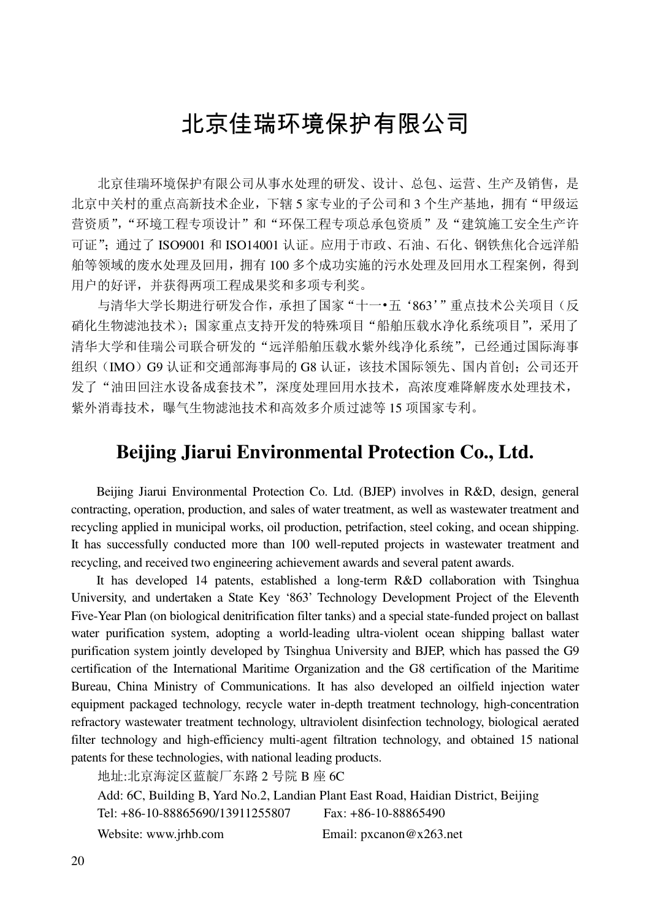## 北京佳瑞环境保护有限公司

北京佳瑞环境保护有限公司从事水处理的研发、设计、总包、运营、生产及销售,是 北京中关村的重点高新技术企业,下辖 5 家专业的子公司和 3 个生产基地, 拥有"甲级运 营资质","环境工程专项设计"和"环保工程专项总承包资质"及"建筑施工安全生产许 可证";通过了 ISO9001 和 ISO14001 认证。应用于市政、石油、石化、钢铁焦化合远洋船 舶等领域的废水处理及回用,拥有 100 多个成功实施的污水处理及回用水工程案例,得到 用户的好评,并获得两项工程成果奖和多项专利奖。

与清华大学长期进行研发合作,承担了国家"十一•五'863'"重点技术公关项目(反 硝化生物滤池技术);国家重点支持开发的特殊项目"船舶压载水净化系统项目",采用了 清华大学和佳瑞公司联合研发的"远洋船舶压载水紫外线净化系统",已经通过国际海事 组织(IMO)G9 认证和交通部海事局的 G8 认证,该技术国际领先、国内首创;公司还开 发了"油田回注水设备成套技术",深度处理回用水技术,高浓度难降解废水处理技术, 紫外消毒技术,曝气生物滤池技术和高效多介质过滤等 15 项国家专利。

#### **Beijing Jiarui Environmental Protection Co., Ltd.**

Beijing Jiarui Environmental Protection Co. Ltd. (BJEP) involves in R&D, design, general contracting, operation, production, and sales of water treatment, as well as wastewater treatment and recycling applied in municipal works, oil production, petrifaction, steel coking, and ocean shipping. It has successfully conducted more than 100 well-reputed projects in wastewater treatment and recycling, and received two engineering achievement awards and several patent awards.

It has developed 14 patents, established a long-term R&D collaboration with Tsinghua University, and undertaken a State Key '863' Technology Development Project of the Eleventh Five-Year Plan (on biological denitrification filter tanks) and a special state-funded project on ballast water purification system, adopting a world-leading ultra-violent ocean shipping ballast water purification system jointly developed by Tsinghua University and BJEP, which has passed the G9 certification of the International Maritime Organization and the G8 certification of the Maritime Bureau, China Ministry of Communications. It has also developed an oilfield injection water equipment packaged technology, recycle water in-depth treatment technology, high-concentration refractory wastewater treatment technology, ultraviolent disinfection technology, biological aerated filter technology and high-efficiency multi-agent filtration technology, and obtained 15 national patents for these technologies, with national leading products.

地址:北京海淀区蓝靛厂东路 2 号院 B 座 6C Add: 6C, Building B, Yard No.2, Landian Plant East Road, Haidian District, Beijing Tel: +86-10-88865690/13911255807 Fax: +86-10-88865490 Website: www.jrhb.com Email: pxcanon@x263.net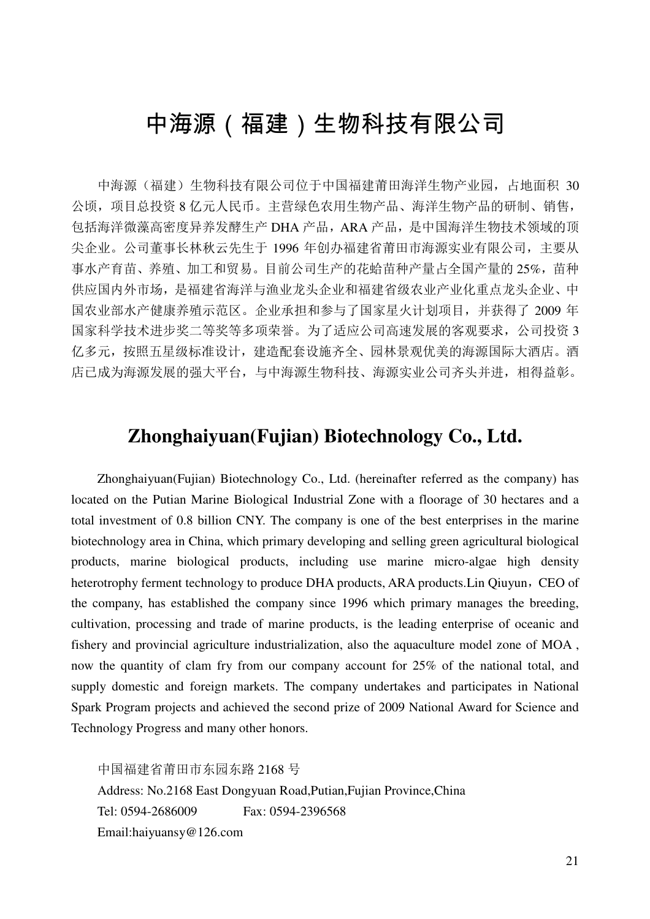## 中海源(福建)生物科技有限公司

中海源(福建)生物科技有限公司位于中国福建莆田海洋生物产业园,占地面积 30 公顷,项目总投资 8 亿元人民币。主营绿色农用生物产品、海洋生物产品的研制、销售, 包括海洋微藻高密度异养发酵生产 DHA 产品,ARA 产品,是中国海洋生物技术领域的顶 尖企业。公司董事长林秋云先生于 1996 年创办福建省莆田市海源实业有限公司,主要从 事水产育苗、养殖、加工和贸易。目前公司生产的花蛤苗种产量占全国产量的 25%,苗种 供应国内外市场,是福建省海洋与渔业龙头企业和福建省级农业产业化重点龙头企业、中 国农业部水产健康养殖示范区。企业承担和参与了国家星火计划项目,并获得了 2009 年 国家科学技术进步奖二等奖等多项荣誉。为了适应公司高速发展的客观要求,公司投资 3 亿多元,按照五星级标准设计,建造配套设施齐全、园林景观优美的海源国际大酒店。酒 店已成为海源发展的强大平台,与中海源生物科技、海源实业公司齐头并进,相得益彰。

#### **Zhonghaiyuan(Fujian) Biotechnology Co., Ltd.**

Zhonghaiyuan(Fujian) Biotechnology Co., Ltd. (hereinafter referred as the company) has located on the Putian Marine Biological Industrial Zone with a floorage of 30 hectares and a total investment of 0.8 billion CNY. The company is one of the best enterprises in the marine biotechnology area in China, which primary developing and selling green agricultural biological products, marine biological products, including use marine micro-algae high density heterotrophy ferment technology to produce DHA products, ARA products. Lin Qiuyun, CEO of the company, has established the company since 1996 which primary manages the breeding, cultivation, processing and trade of marine products, is the leading enterprise of oceanic and fishery and provincial agriculture industrialization, also the aquaculture model zone of MOA , now the quantity of clam fry from our company account for 25% of the national total, and supply domestic and foreign markets. The company undertakes and participates in National Spark Program projects and achieved the second prize of 2009 National Award for Science and Technology Progress and many other honors.

中国福建省莆田市东园东路 2168 号 Address: No.2168 East Dongyuan Road,Putian,Fujian Province,China Tel: 0594-2686009 Fax: 0594-2396568 Email:haiyuansy@126.com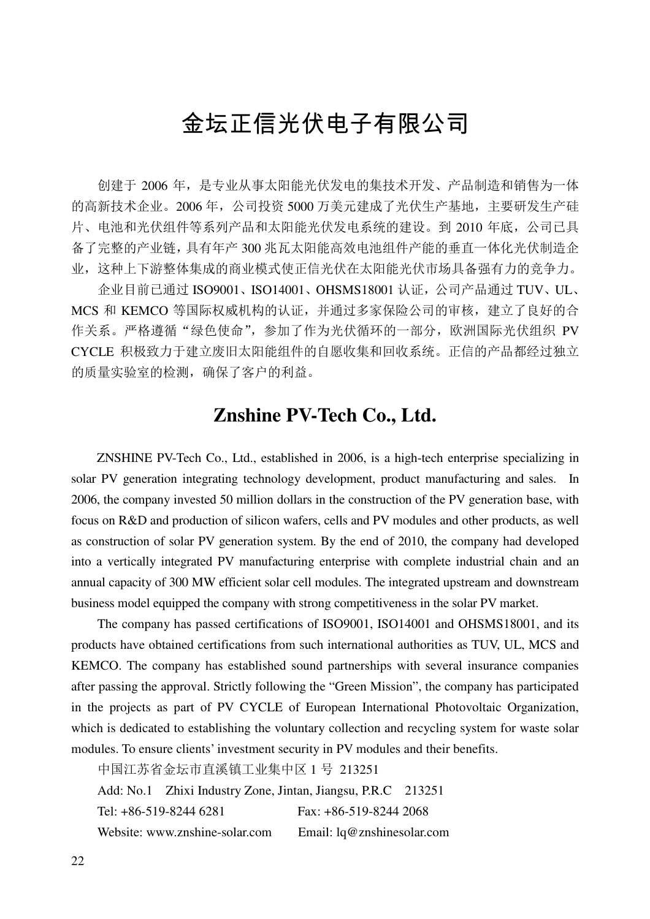# 金坛正信光伏电子有限公司

创建于 2006 年,是专业从事太阳能光伏发电的集技术开发、产品制造和销售为一体 的高新技术企业。2006 年,公司投资 5000 万美元建成了光伏生产基地,主要研发生产硅 片、电池和光伏组件等系列产品和太阳能光伏发电系统的建设。到 2010 年底,公司已具 备了完整的产业链,具有年产 300 兆瓦太阳能高效电池组件产能的垂直一体化光伏制造企 业,这种上下游整体集成的商业模式使正信光伏在太阳能光伏市场具备强有力的竞争力。

企业目前已通过 ISO9001、ISO14001、OHSMS18001 认证,公司产品通过 TUV、UL、 MCS 和 KEMCO 等国际权威机构的认证,并通过多家保险公司的审核,建立了良好的合 作关系。严格遵循"绿色使命",参加了作为光伏循环的一部分,欧洲国际光伏组织 PV CYCLE 积极致力于建立废旧太阳能组件的自愿收集和回收系统。正信的产品都经过独立 的质量实验室的检测,确保了客户的利益。

#### **Znshine PV-Tech Co., Ltd.**

ZNSHINE PV-Tech Co., Ltd., established in 2006, is a high-tech enterprise specializing in solar PV generation integrating technology development, product manufacturing and sales. In 2006, the company invested 50 million dollars in the construction of the PV generation base, with focus on R&D and production of silicon wafers, cells and PV modules and other products, as well as construction of solar PV generation system. By the end of 2010, the company had developed into a vertically integrated PV manufacturing enterprise with complete industrial chain and an annual capacity of 300 MW efficient solar cell modules. The integrated upstream and downstream business model equipped the company with strong competitiveness in the solar PV market.

The company has passed certifications of ISO9001, ISO14001 and OHSMS18001, and its products have obtained certifications from such international authorities as TUV, UL, MCS and KEMCO. The company has established sound partnerships with several insurance companies after passing the approval. Strictly following the "Green Mission", the company has participated in the projects as part of PV CYCLE of European International Photovoltaic Organization, which is dedicated to establishing the voluntary collection and recycling system for waste solar modules. To ensure clients' investment security in PV modules and their benefits.

中国江苏省金坛市直溪镇工业集中区 1 号 213251

Add: No.1 Zhixi Industry Zone, Jintan, Jiangsu, P.R.C 213251 Tel: +86-519-8244 6281 Fax: +86-519-8244 2068 Website: www.znshine-solar.com Email: lq@znshinesolar.com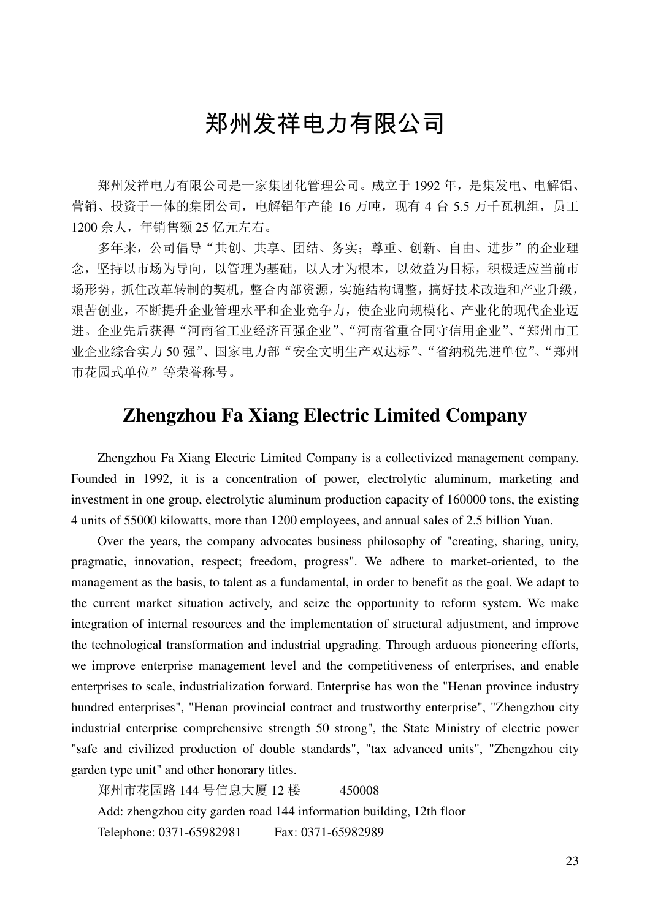### 郑州发祥电力有限公司

郑州发祥电力有限公司是一家集团化管理公司。成立于 1992 年,是集发电、电解铝、 营销、投资于一体的集团公司,电解铝年产能 16 万吨,现有 4 台 5.5 万千瓦机组, 员工 1200 余人,年销售额 25 亿元左右。

多年来,公司倡导"共创、共享、团结、务实;尊重、创新、自由、进步"的企业理 念,坚持以市场为导向,以管理为基础,以人才为根本,以效益为目标,积极适应当前市 场形势,抓住改革转制的契机,整合内部资源,实施结构调整,搞好技术改造和产业升级, 艰苦创业,不断提升企业管理水平和企业竞争力,使企业向规模化、产业化的现代企业迈 进。企业先后获得"河南省工业经济百强企业"、"河南省重合同守信用企业"、"郑州市工 业企业综合实力50强"、国家电力部"安全文明生产双达标"、"省纳税先进单位"、"郑州 市花园式单位"等荣誉称号。

#### **Zhengzhou Fa Xiang Electric Limited Company**

Zhengzhou Fa Xiang Electric Limited Company is a collectivized management company. Founded in 1992, it is a concentration of power, electrolytic aluminum, marketing and investment in one group, electrolytic aluminum production capacity of 160000 tons, the existing 4 units of 55000 kilowatts, more than 1200 employees, and annual sales of 2.5 billion Yuan.

Over the years, the company advocates business philosophy of "creating, sharing, unity, pragmatic, innovation, respect; freedom, progress". We adhere to market-oriented, to the management as the basis, to talent as a fundamental, in order to benefit as the goal. We adapt to the current market situation actively, and seize the opportunity to reform system. We make integration of internal resources and the implementation of structural adjustment, and improve the technological transformation and industrial upgrading. Through arduous pioneering efforts, we improve enterprise management level and the competitiveness of enterprises, and enable enterprises to scale, industrialization forward. Enterprise has won the "Henan province industry hundred enterprises", "Henan provincial contract and trustworthy enterprise", "Zhengzhou city industrial enterprise comprehensive strength 50 strong", the State Ministry of electric power "safe and civilized production of double standards", "tax advanced units", "Zhengzhou city garden type unit" and other honorary titles.

郑州市花园路 144 号信息大厦 12 楼 450008 Add: zhengzhou city garden road 144 information building, 12th floor Telephone: 0371-65982981 Fax: 0371-65982989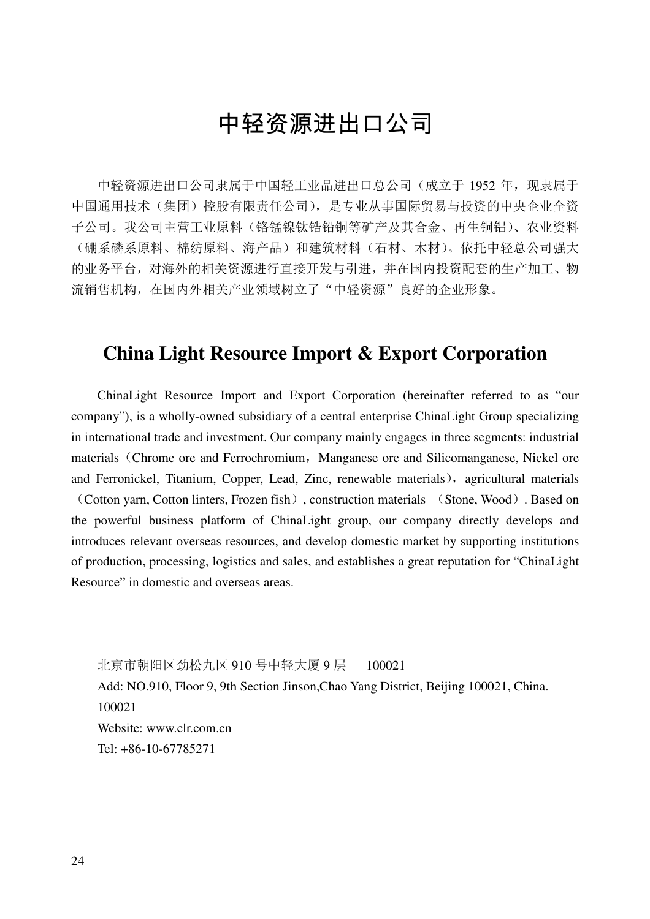## 中轻资源进出口公司

中轻资源进出口公司隶属于中国轻工业品进出口总公司(成立于 1952 年,现隶属于 中国通用技术(集团)控股有限责任公司),是专业从事国际贸易与投资的中央企业全资 子公司。我公司主营工业原料(铬锰镍钛锆铅铜等矿产及其合金、再生铜铝)、农业资料 (硼系磷系原料、棉纺原料、海产品)和建筑材料(石材、木材)。依托中轻总公司强大 的业务平台,对海外的相关资源进行直接开发与引进,并在国内投资配套的生产加工、物 流销售机构,在国内外相关产业领域树立了"中轻资源"良好的企业形象。

#### **China Light Resource Import & Export Corporation**

ChinaLight Resource Import and Export Corporation (hereinafter referred to as "our company"), is a wholly-owned subsidiary of a central enterprise ChinaLight Group specializing in international trade and investment. Our company mainly engages in three segments: industrial materials (Chrome ore and Ferrochromium, Manganese ore and Silicomanganese, Nickel ore and Ferronickel, Titanium, Copper, Lead, Zinc, renewable materials), agricultural materials (Cotton yarn, Cotton linters, Frozen fish), construction materials (Stone, Wood). Based on the powerful business platform of ChinaLight group, our company directly develops and introduces relevant overseas resources, and develop domestic market by supporting institutions of production, processing, logistics and sales, and establishes a great reputation for "ChinaLight Resource" in domestic and overseas areas.

北京市朝阳区劲松九区 910 号中轻大厦 9 层 100021 Add: NO.910, Floor 9, 9th Section Jinson,Chao Yang District, Beijing 100021, China. 100021 Website: www.clr.com.cn  $Tel·+86-10-67785271$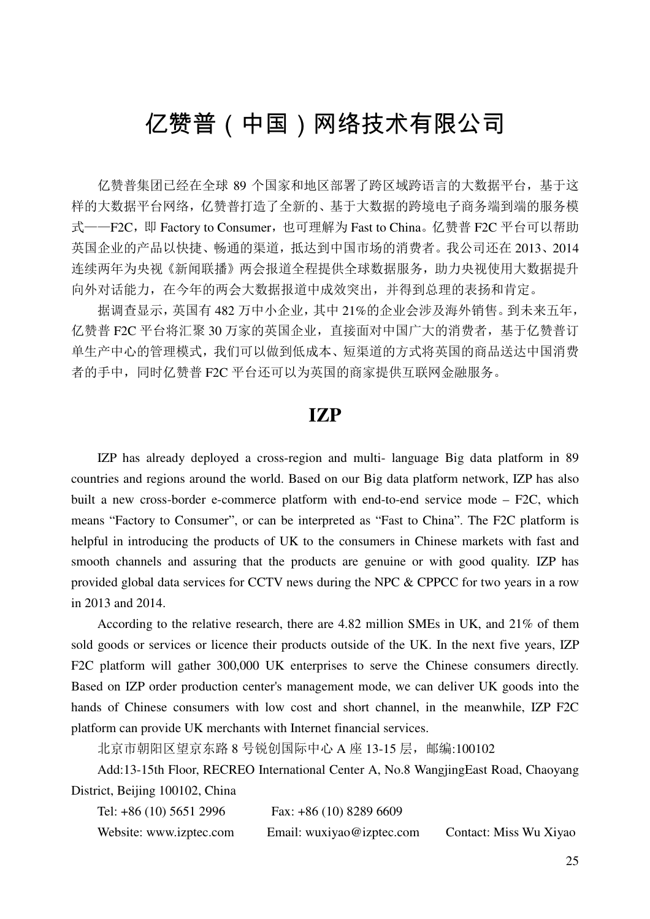# 亿赞普(中国)网络技术有限公司

亿赞普集团已经在全球 89 个国家和地区部署了跨区域跨语言的大数据平台,基于这 样的大数据平台网络,亿赞普打造了全新的、基于大数据的跨境电子商务端到端的服务模 式——F2C, 即 Factory to Consumer, 也可理解为 Fast to China。 亿赞普 F2C 平台可以帮助 英国企业的产品以快捷、畅通的渠道,抵达到中国市场的消费者。我公司还在 2013、2014 连续两年为央视《新闻联播》两会报道全程提供全球数据服务,助力央视使用大数据提升 向外对话能力,在今年的两会大数据报道中成效突出,并得到总理的表扬和肯定。

据调查显示,英国有 482 万中小企业,其中 21%的企业会涉及海外销售。到未来五年, 亿赞普 F2C 平台将汇聚 30 万家的英国企业,直接面对中国广大的消费者,基于亿赞普订 单生产中心的管理模式,我们可以做到低成本、短渠道的方式将英国的商品送达中国消费 者的手中,同时亿赞普 F2C 平台还可以为英国的商家提供互联网金融服务。

#### **IZP**

IZP has already deployed a cross-region and multi- language Big data platform in 89 countries and regions around the world. Based on our Big data platform network, IZP has also built a new cross-border e-commerce platform with end-to-end service mode – F2C, which means "Factory to Consumer", or can be interpreted as "Fast to China". The F2C platform is helpful in introducing the products of UK to the consumers in Chinese markets with fast and smooth channels and assuring that the products are genuine or with good quality. IZP has provided global data services for CCTV news during the NPC & CPPCC for two years in a row in 2013 and 2014.

According to the relative research, there are 4.82 million SMEs in UK, and 21% of them sold goods or services or licence their products outside of the UK. In the next five years, IZP F2C platform will gather 300,000 UK enterprises to serve the Chinese consumers directly. Based on IZP order production center's management mode, we can deliver UK goods into the hands of Chinese consumers with low cost and short channel, in the meanwhile, IZP F2C platform can provide UK merchants with Internet financial services.

北京市朝阳区望京东路 8 号锐创国际中心 A 座 13-15 层, 邮编:100102

Add:13-15th Floor, RECREO International Center A, No.8 WangjingEast Road, Chaoyang District, Beijing 100102, China

| Tel: $+86(10)$ 5651 2996 | Fax: $+86(10)82896609$    |                        |
|--------------------------|---------------------------|------------------------|
| Website: www.izptec.com  | Email: wuxiyao@izptec.com | Contact: Miss Wu Xiyao |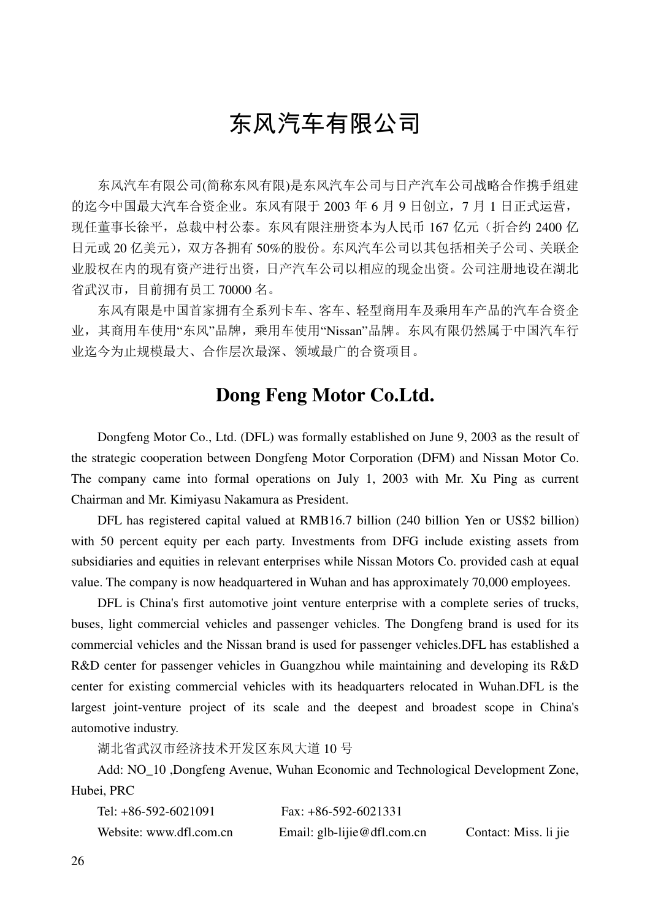## 东风汽车有限公司

东风汽车有限公司(简称东风有限)是东风汽车公司与日产汽车公司战略合作携手组建 的迄今中国最大汽车合资企业。东风有限于 2003 年 6 月 9 日创立,7 月 1 日正式运营, 现任董事长徐平,总裁中村公泰。东风有限注册资本为人民币 167 亿元(折合约 2400 亿 日元或 20 亿美元),双方各拥有 50%的股份。东风汽车公司以其包括相关子公司、关联企 业股权在内的现有资产进行出资,日产汽车公司以相应的现金出资。公司注册地设在湖北 省武汉市,目前拥有员工 70000 名。

东风有限是中国首家拥有全系列卡车、客车、轻型商用车及乘用车产品的汽车合资企 业,其商用车使用"东风"品牌,乘用车使用"Nissan"品牌。东风有限仍然属于中国汽车行 业迄今为止规模最大、合作层次最深、领域最广的合资项目。

#### **Dong Feng Motor Co.Ltd.**

Dongfeng Motor Co., Ltd. (DFL) was formally established on June 9, 2003 as the result of the strategic cooperation between Dongfeng Motor Corporation (DFM) and Nissan Motor Co. The company came into formal operations on July 1, 2003 with Mr. Xu Ping as current Chairman and Mr. Kimiyasu Nakamura as President.

DFL has registered capital valued at RMB16.7 billion (240 billion Yen or US\$2 billion) with 50 percent equity per each party. Investments from DFG include existing assets from subsidiaries and equities in relevant enterprises while Nissan Motors Co. provided cash at equal value. The company is now headquartered in Wuhan and has approximately 70,000 employees.

DFL is China's first automotive joint venture enterprise with a complete series of trucks, buses, light commercial vehicles and passenger vehicles. The Dongfeng brand is used for its commercial vehicles and the Nissan brand is used for passenger vehicles.DFL has established a R&D center for passenger vehicles in Guangzhou while maintaining and developing its R&D center for existing commercial vehicles with its headquarters relocated in Wuhan.DFL is the largest joint-venture project of its scale and the deepest and broadest scope in China's automotive industry.

湖北省武汉市经济技术开发区东风大道 10 号

Add: NO\_10 ,Dongfeng Avenue, Wuhan Economic and Technological Development Zone, Hubei, PRC

| Tel: +86-592-6021091    | Fax: $+86-592-6021331$        |                       |
|-------------------------|-------------------------------|-----------------------|
| Website: www.dfl.com.cn | Email: $glb-lijie@dfl.com.cn$ | Contact: Miss. li jie |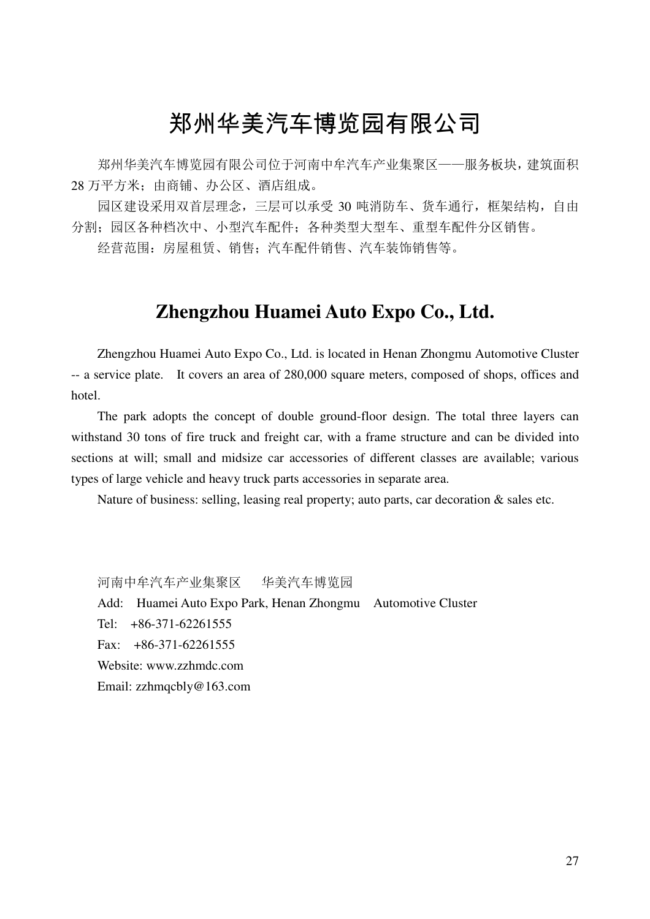## 郑州华美汽车博览园有限公司

郑州华美汽车博览园有限公司位于河南中牟汽车产业集聚区——服务板块,建筑面积 28 万平方米;由商铺、办公区、酒店组成。

园区建设采用双首层理念,三层可以承受 30 吨消防车、货车通行,框架结构,自由 分割;园区各种档次中、小型汽车配件;各种类型大型车、重型车配件分区销售。

经营范围:房屋租赁、销售;汽车配件销售、汽车装饰销售等。

### **Zhengzhou Huamei Auto Expo Co., Ltd.**

Zhengzhou Huamei Auto Expo Co., Ltd. is located in Henan Zhongmu Automotive Cluster -- a service plate. It covers an area of 280,000 square meters, composed of shops, offices and hotel.

The park adopts the concept of double ground-floor design. The total three layers can withstand 30 tons of fire truck and freight car, with a frame structure and can be divided into sections at will; small and midsize car accessories of different classes are available; various types of large vehicle and heavy truck parts accessories in separate area.

Nature of business: selling, leasing real property; auto parts, car decoration & sales etc.

河南中牟汽车产业集聚区 华美汽车博览园 Add: Huamei Auto Expo Park, Henan Zhongmu Automotive Cluster Tel: +86-371-62261555 Fax:  $+86-371-62261555$ Website: www.zzhmdc.com Email: zzhmqcbly@163.com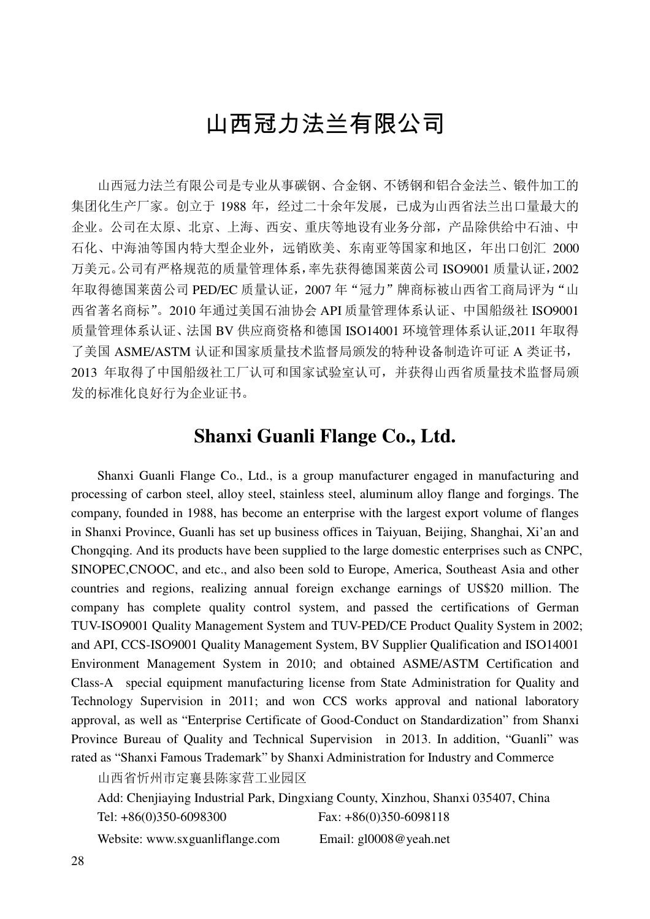# 山西冠力法兰有限公司

山西冠力法兰有限公司是专业从事碳钢、合金钢、不锈钢和铝合金法兰、锻件加工的 集团化生产厂家。创立于 1988 年,经过二十余年发展,已成为山西省法兰出口量最大的 企业。公司在太原、北京、上海、西安、重庆等地设有业务分部,产品除供给中石油、中 石化、中海油等国内特大型企业外,远销欧美、东南亚等国家和地区,年出口创汇 2000 万美元。公司有严格规范的质量管理体系,率先获得德国莱茵公司 ISO9001 质量认证,2002 年取得德国莱茵公司 PED/EC 质量认证, 2007 年"冠力"牌商标被山西省工商局评为"山 西省著名商标"。2010 年通过美国石油协会 API 质量管理体系认证、中国船级社 ISO9001 质量管理体系认证、法国 BV 供应商资格和德国 ISO14001 环境管理体系认证,2011 年取得 了美国 ASME/ASTM 认证和国家质量技术监督局颁发的特种设备制造许可证 A 类证书, 2013 年取得了中国船级社工厂认可和国家试验室认可,并获得山西省质量技术监督局颁 发的标准化良好行为企业证书。

#### **Shanxi Guanli Flange Co., Ltd.**

Shanxi Guanli Flange Co., Ltd., is a group manufacturer engaged in manufacturing and processing of carbon steel, alloy steel, stainless steel, aluminum alloy flange and forgings. The company, founded in 1988, has become an enterprise with the largest export volume of flanges in Shanxi Province, Guanli has set up business offices in Taiyuan, Beijing, Shanghai, Xi'an and Chongqing. And its products have been supplied to the large domestic enterprises such as CNPC, SINOPEC,CNOOC, and etc., and also been sold to Europe, America, Southeast Asia and other countries and regions, realizing annual foreign exchange earnings of US\$20 million. The company has complete quality control system, and passed the certifications of German TUV-ISO9001 Quality Management System and TUV-PED/CE Product Quality System in 2002; and API, CCS-ISO9001 Quality Management System, BV Supplier Qualification and ISO14001 Environment Management System in 2010; and obtained ASME/ASTM Certification and Class-A special equipment manufacturing license from State Administration for Quality and Technology Supervision in 2011; and won CCS works approval and national laboratory approval, as well as "Enterprise Certificate of Good-Conduct on Standardization" from Shanxi Province Bureau of Quality and Technical Supervision in 2013. In addition, "Guanli" was rated as "Shanxi Famous Trademark" by Shanxi Administration for Industry and Commerce

山西省忻州市定襄县陈家营工业园区

Add: Chenjiaying Industrial Park, Dingxiang County, Xinzhou, Shanxi 035407, China Tel: +86(0)350-6098300 Fax: +86(0)350-6098118 Website: www.sxguanliflange.com Email: gl0008@yeah.net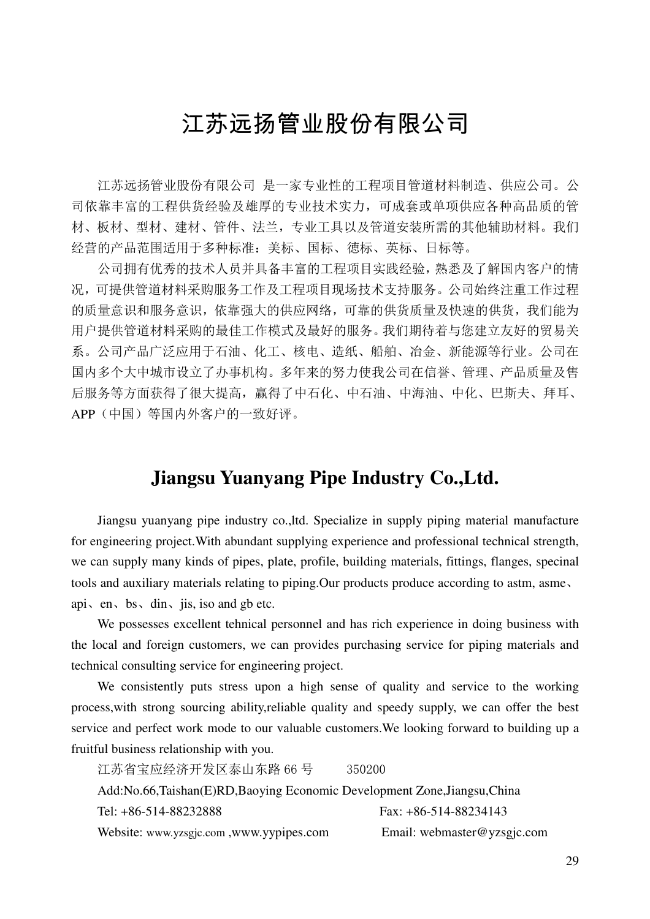## 江苏远扬管业股份有限公司

江苏远扬管业股份有限公司 是一家专业性的工程项目管道材料制造、供应公司。公 司依靠丰富的工程供货经验及雄厚的专业技术实力,可成套或单项供应各种高品质的管 材、板材、型材、建材、管件、法兰,专业工具以及管道安装所需的其他辅助材料。我们 经营的产品范围适用于多种标准:美标、国标、徳标、英标、日标等。

公司拥有优秀的技术人员并具备丰富的工程项目实践经验,熟悉及了解国内客户的情 况,可提供管道材料采购服务工作及工程项目现场技术支持服务。公司始终注重工作过程 的质量意识和服务意识,依靠强大的供应网络,可靠的供货质量及快速的供货,我们能为 用户提供管道材料采购的最佳工作模式及最好的服务。我们期待着与您建立友好的贸易关 系。公司产品广泛应用于石油、化工、核电、造纸、船舶、冶金、新能源等行业。公司在 国内多个大中城市设立了办事机构。多年来的努力使我公司在信誉、管理、产品质量及售 后服务等方面获得了很大提高,赢得了中石化、中石油、中海油、中化、巴斯夫、拜耳、 APP(中国)等国内外客户的一致好评。

#### **Jiangsu Yuanyang Pipe Industry Co.,Ltd.**

Jiangsu yuanyang pipe industry co.,ltd. Specialize in supply piping material manufacture for engineering project.With abundant supplying experience and professional technical strength, we can supply many kinds of pipes, plate, profile, building materials, fittings, flanges, specinal tools and auxiliary materials relating to piping.Our products produce according to astm, asme、 api、en、bs、din、jis, iso and gb etc.

We possesses excellent tehnical personnel and has rich experience in doing business with the local and foreign customers, we can provides purchasing service for piping materials and technical consulting service for engineering project.

We consistently puts stress upon a high sense of quality and service to the working process,with strong sourcing ability,reliable quality and speedy supply, we can offer the best service and perfect work mode to our valuable customers.We looking forward to building up a fruitful business relationship with you.

| 江苏省宝应经济开发区泰山东路 66号                                                     | 350200                      |
|------------------------------------------------------------------------|-----------------------------|
| Add:No.66,Taishan(E)RD,Baoying Economic Development Zone,Jiangsu,China |                             |
| Tel: +86-514-88232888                                                  | Fax: $+86-514-88234143$     |
| Website: www.yzsgjc.com, www.yypipes.com                               | Email: webmaster@yzsgjc.com |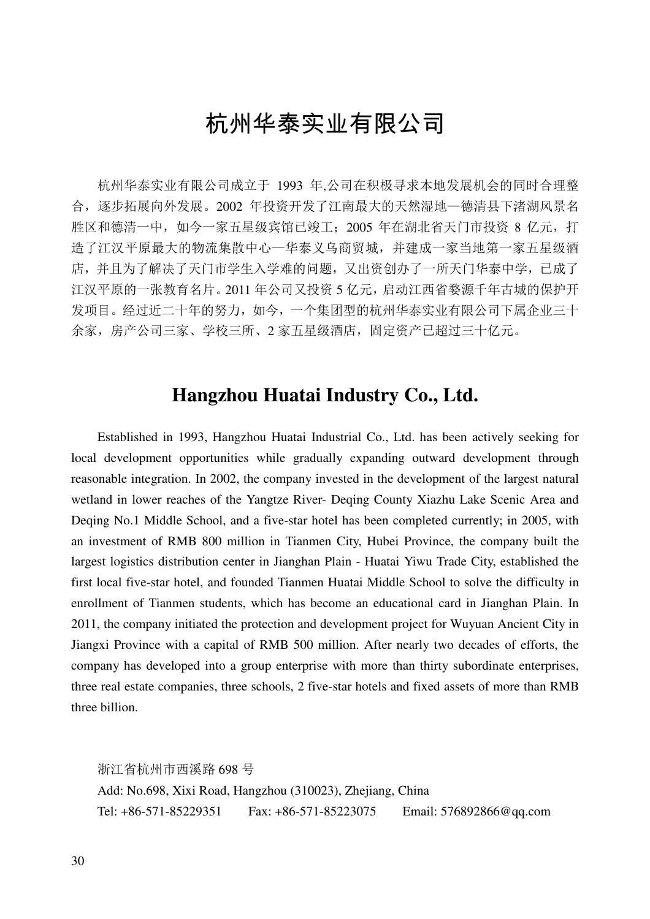# 杭州华泰实业有限公司

杭州华泰实业有限公司成立于 1993 年,公司在积极寻求本地发展机会的同时合理整 合,逐步拓展向外发展。2002 年投资开发了江南最大的天然湿地—德清县下渚湖风景名 胜区和德清一中,如今一家五星级宾馆已竣工; 2005 年在湖北省天门市投资 8 亿元, 打 造了江汉平原最大的物流集散中心—华泰义乌商贸城,并建成一家当地第一家五星级酒 店,并且为了解决了天门市学生入学难的问题,又出资创办了一所天门华泰中学,已成了 江汉平原的一张教育名片。2011 年公司又投资 5 亿元,启动江西省婺源千年古城的保护开 发项目。经过近二十年的努力,如今,一个集团型的杭州华泰实业有限公司下属企业三十 余家,房产公司三家、学校三所、2 家五星级酒店,固定资产已超过三十亿元。

#### **Hangzhou Huatai Industry Co., Ltd.**

Established in 1993, Hangzhou Huatai Industrial Co., Ltd. has been actively seeking for local development opportunities while gradually expanding outward development through reasonable integration. In 2002, the company invested in the development of the largest natural wetland in lower reaches of the Yangtze River- Deqing County Xiazhu Lake Scenic Area and Deqing No.1 Middle School, and a five-star hotel has been completed currently; in 2005, with an investment of RMB 800 million in Tianmen City, Hubei Province, the company built the largest logistics distribution center in Jianghan Plain - Huatai Yiwu Trade City, established the first local five-star hotel, and founded Tianmen Huatai Middle School to solve the difficulty in enrollment of Tianmen students, which has become an educational card in Jianghan Plain. In 2011, the company initiated the protection and development project for Wuyuan Ancient City in Jiangxi Province with a capital of RMB 500 million. After nearly two decades of efforts, the company has developed into a group enterprise with more than thirty subordinate enterprises, three real estate companies, three schools, 2 five-star hotels and fixed assets of more than RMB three billion.

浙江省杭州市西溪路 698 号 Add: No.698, Xixi Road, Hangzhou (310023), Zhejiang, China Tel: +86-571-85229351 Fax: +86-571-85223075 Email: 576892866@qq.com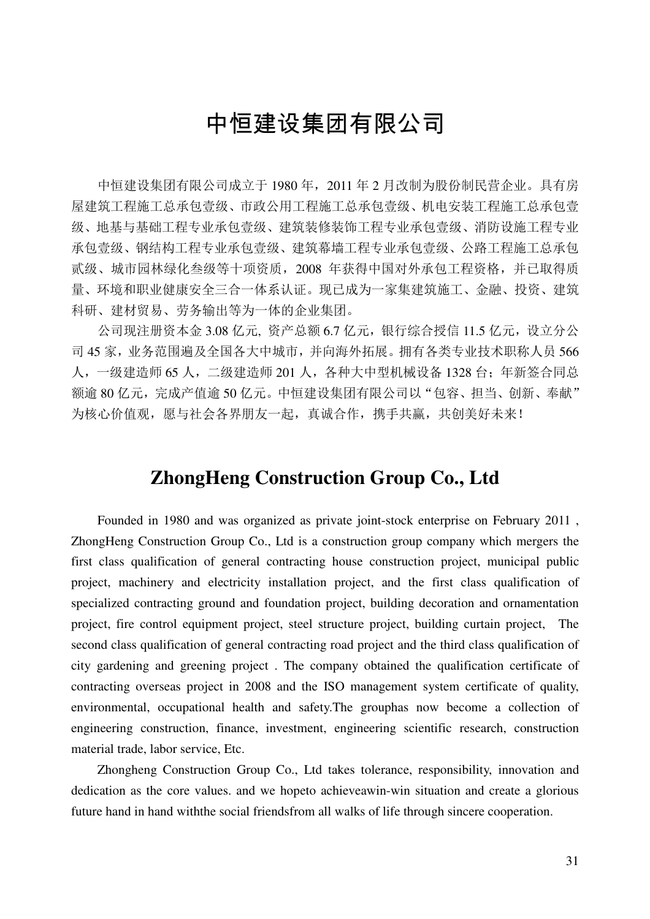### 中恒建设集团有限公司

中恒建设集团有限公司成立于 1980 年,2011 年 2 月改制为股份制民营企业。具有房 屋建筑工程施工总承包壹级、市政公用工程施工总承包壹级、机电安装工程施工总承包壹 级、地基与基础工程专业承包壹级、建筑装修装饰工程专业承包壹级、消防设施工程专业 承包壹级、钢结构工程专业承包壹级、建筑幕墙工程专业承包壹级、公路工程施工总承包 贰级、城市园林绿化叁级等十项资质,2008 年获得中国对外承包工程资格,并已取得质 量、环境和职业健康安全三合一体系认证。现已成为一家集建筑施工、金融、投资、建筑 科研、建材贸易、劳务输出等为一体的企业集团。

公司现注册资本金 3.08 亿元, 资产总额 6.7 亿元, 银行综合授信 11.5 亿元, 设立分公 司 45 家,业务范围遍及全国各大中城市,并向海外拓展。拥有各类专业技术职称人员 566 人,一级建造师 65 人, 二级建造师 201 人, 各种大中型机械设备 1328 台;年新签合同总 额逾 80 亿元,完成产值逾 50 亿元。中恒建设集团有限公司以"包容、担当、创新、奉献" 为核心价值观,愿与社会各界朋友一起,真诚合作,携手共赢,共创美好未来!

#### **ZhongHeng Construction Group Co., Ltd**

Founded in 1980 and was organized as private joint-stock enterprise on February 2011 , ZhongHeng Construction Group Co., Ltd is a construction group company which mergers the first class qualification of general contracting house construction project, municipal public project, machinery and electricity installation project, and the first class qualification of specialized contracting ground and foundation project, building decoration and ornamentation project, fire control equipment project, steel structure project, building curtain project, The second class qualification of general contracting road project and the third class qualification of city gardening and greening project . The company obtained the qualification certificate of contracting overseas project in 2008 and the ISO management system certificate of quality, environmental, occupational health and safety.The grouphas now become a collection of engineering construction, finance, investment, engineering scientific research, construction material trade, labor service, Etc.

Zhongheng Construction Group Co., Ltd takes tolerance, responsibility, innovation and dedication as the core values. and we hopeto achieveawin-win situation and create a glorious future hand in hand withthe social friendsfrom all walks of life through sincere cooperation.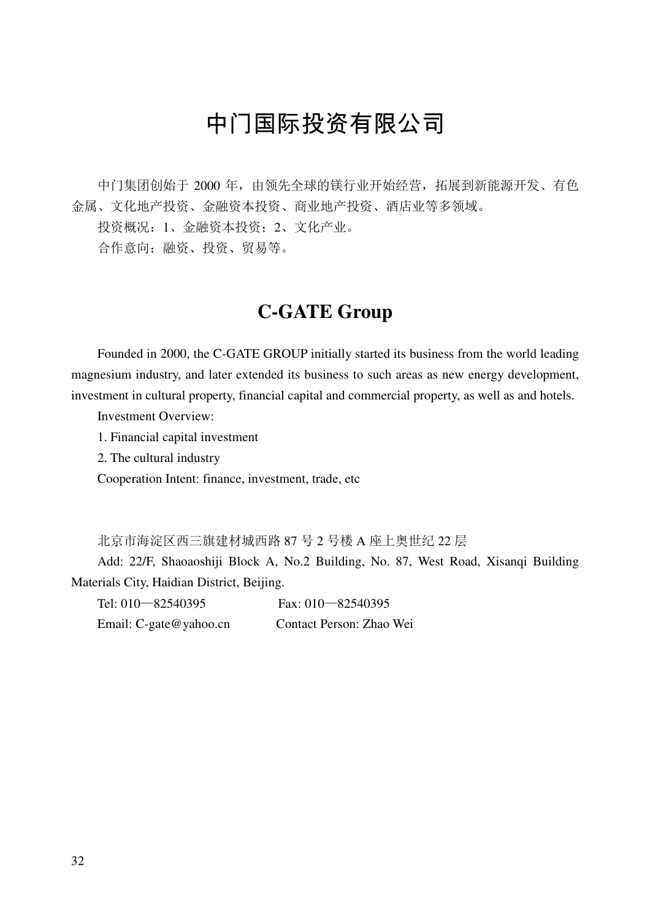# 中门国际投资有限公司

中门集团创始于 2000 年,由领先全球的镁行业开始经营,拓展到新能源开发、有色 金属、文化地产投资、金融资本投资、商业地产投资、酒店业等多领域。

投资概况: 1、金融资本投资; 2、文化产业。

合作意向:融资、投资、贸易等。

### **C-GATE Group**

Founded in 2000, the C-GATE GROUP initially started its business from the world leading magnesium industry, and later extended its business to such areas as new energy development, investment in cultural property, financial capital and commercial property, as well as and hotels.

Investment Overview:

- 1. Financial capital investment
- 2. The cultural industry

Cooperation Intent: finance, investment, trade, etc

北京市海淀区西三旗建材城西路 87 号 2 号楼 A 座上奥世纪 22 层

Add: 22/F, Shaoaoshiji Block A, No.2 Building, No. 87, West Road, Xisanqi Building Materials City, Haidian District, Beijing.

Tel: 010—82540395 Fax: 010—82540395 Email: C-gate@yahoo.cn Contact Person: Zhao Wei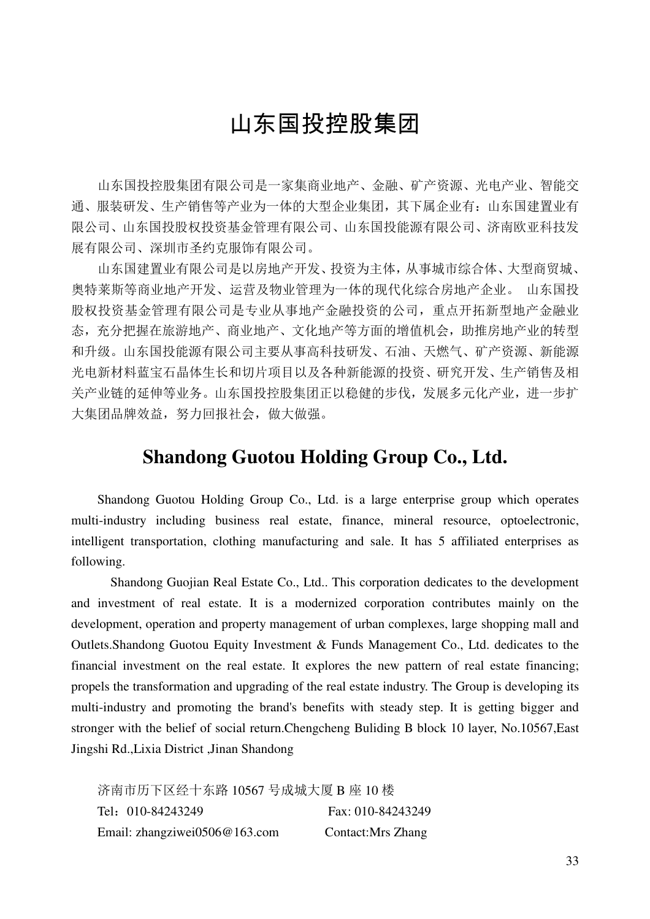### 山东国投控股集团

山东国投控股集团有限公司是一家集商业地产、金融、矿产资源、光电产业、智能交 通、服装研发、生产销售等产业为一体的大型企业集团,其下属企业有:山东国建置业有 限公司、山东国投股权投资基金管理有限公司、山东国投能源有限公司、济南欧亚科技发 展有限公司、深圳市圣约克服饰有限公司。

山东国建置业有限公司是以房地产开发、投资为主体,从事城市综合体、大型商贸城、 奥特莱斯等商业地产开发、运营及物业管理为一体的现代化综合房地产企业。 山东国投 股权投资基金管理有限公司是专业从事地产金融投资的公司,重点开拓新型地产金融业 态,充分把握在旅游地产、商业地产、文化地产等方面的增值机会,助推房地产业的转型 和升级。山东国投能源有限公司主要从事高科技研发、石油、天燃气、矿产资源、新能源 光电新材料蓝宝石晶体生长和切片项目以及各种新能源的投资、研究开发、生产销售及相 关产业链的延伸等业务。山东国投控股集团正以稳健的步伐,发展多元化产业,进一步扩 大集团品牌效益,努力回报社会,做大做强。

#### **Shandong Guotou Holding Group Co., Ltd.**

Shandong Guotou Holding Group Co., Ltd. is a large enterprise group which operates multi-industry including business real estate, finance, mineral resource, optoelectronic, intelligent transportation, clothing manufacturing and sale. It has 5 affiliated enterprises as following.

 Shandong Guojian Real Estate Co., Ltd.. This corporation dedicates to the development and investment of real estate. It is a modernized corporation contributes mainly on the development, operation and property management of urban complexes, large shopping mall and Outlets.Shandong Guotou Equity Investment & Funds Management Co., Ltd. dedicates to the financial investment on the real estate. It explores the new pattern of real estate financing; propels the transformation and upgrading of the real estate industry. The Group is developing its multi-industry and promoting the brand's benefits with steady step. It is getting bigger and stronger with the belief of social return.Chengcheng Buliding B block 10 layer, No.10567,East Jingshi Rd.,Lixia District ,Jinan Shandong

济南市历下区经十东路 10567 号成城大厦 B 座 10 楼 Tel: 010-84243249 Fax: 010-84243249 Email: zhangziwei0506@163.com Contact:Mrs Zhang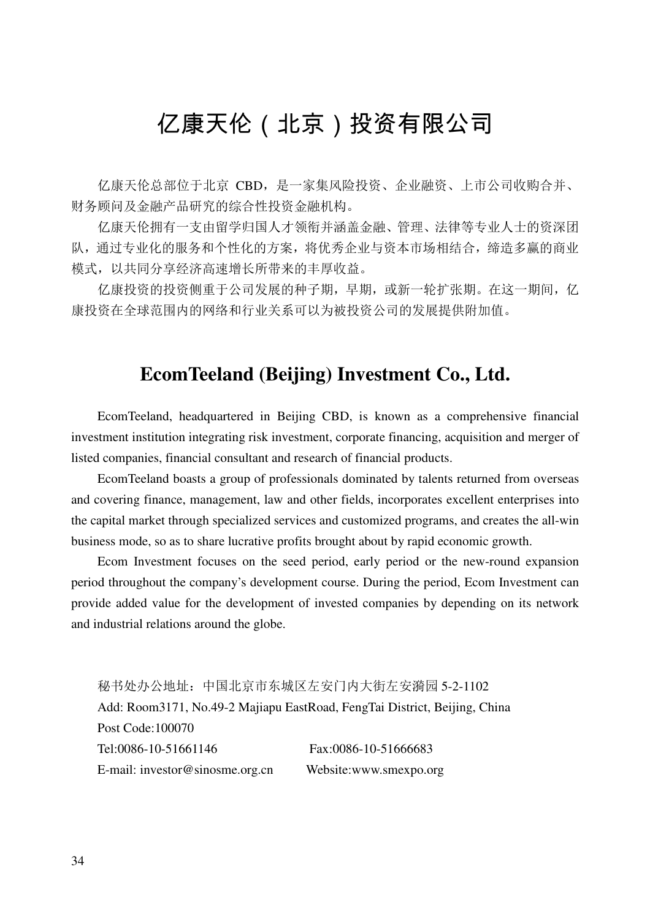# 亿康天伦(北京)投资有限公司

亿康天伦总部位于北京 CBD,是一家集风险投资、企业融资、上市公司收购合并、 财务顾问及金融产品研究的综合性投资金融机构。

亿康天伦拥有一支由留学归国人才领衔并涵盖金融、管理、法律等专业人士的资深团 队,通过专业化的服务和个性化的方案,将优秀企业与资本市场相结合,缔造多赢的商业 模式,以共同分享经济高速增长所带来的丰厚收益。

亿康投资的投资侧重于公司发展的种子期,早期,或新一轮扩张期。在这一期间,亿 康投资在全球范围内的网络和行业关系可以为被投资公司的发展提供附加值。

#### **EcomTeeland (Beijing) Investment Co., Ltd.**

EcomTeeland, headquartered in Beijing CBD, is known as a comprehensive financial investment institution integrating risk investment, corporate financing, acquisition and merger of listed companies, financial consultant and research of financial products.

EcomTeeland boasts a group of professionals dominated by talents returned from overseas and covering finance, management, law and other fields, incorporates excellent enterprises into the capital market through specialized services and customized programs, and creates the all-win business mode, so as to share lucrative profits brought about by rapid economic growth.

Ecom Investment focuses on the seed period, early period or the new-round expansion period throughout the company's development course. During the period, Ecom Investment can provide added value for the development of invested companies by depending on its network and industrial relations around the globe.

秘书处办公地址:中国北京市东城区左安门内大街左安漪园 5-2-1102 Add: Room3171, No.49-2 Majiapu EastRoad, FengTai District, Beijing, China Post Code:100070 Tel:0086-10-51661146 Fax:0086-10-51666683 E-mail: investor@sinosme.org.cn Website:www.smexpo.org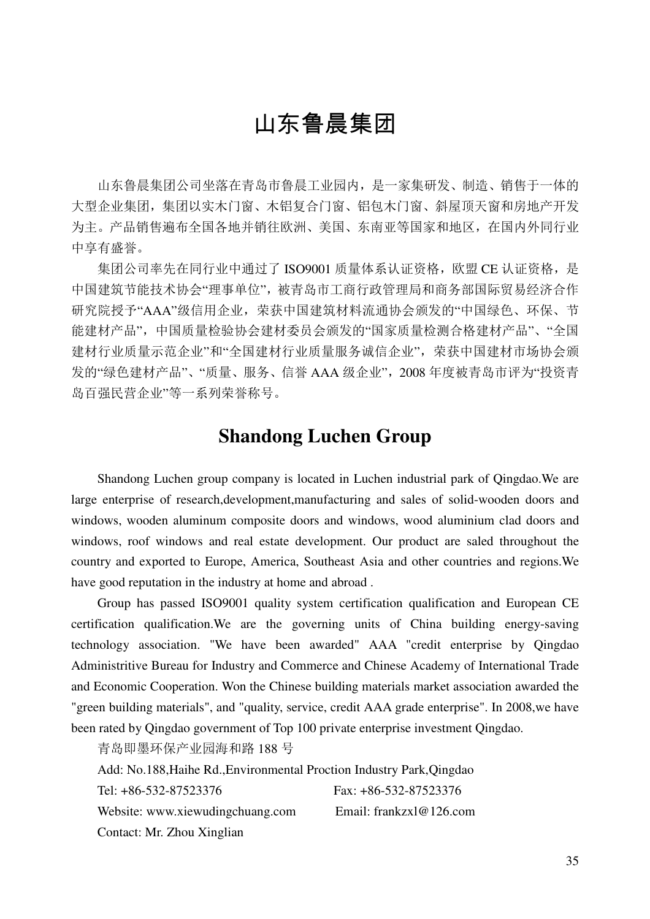## 山东鲁晨集团

山东鲁晨集团公司坐落在青岛市鲁晨工业园内,是一家集研发、制造、销售于一体的 大型企业集团,集团以实木门窗、木铝复合门窗、铝包木门窗、斜屋顶天窗和房地产开发 为主。产品销售遍布全国各地并销往欧洲、美国、东南亚等国家和地区,在国内外同行业 中享有盛誉。

集团公司率先在同行业中通过了 ISO9001 质量体系认证资格, 欧盟 CE 认证资格, 是 中国建筑节能技术协会"理事单位",被青岛市工商行政管理局和商务部国际贸易经济合作 研究院授予"AAA"级信用企业,荣获中国建筑材料流通协会颁发的"中国绿色、环保、节 能建材产品",中国质量检验协会建材委员会颁发的"国家质量检测合格建材产品"、"全国 建材行业质量示范企业"和"全国建材行业质量服务诚信企业",荣获中国建材市场协会颁 发的"绿色建材产品"、"质量、服务、信誉 AAA 级企业", 2008 年度被青岛市评为"投资青 岛百强民营企业"等一系列荣誉称号。

#### **Shandong Luchen Group**

Shandong Luchen group company is located in Luchen industrial park of Qingdao.We are large enterprise of research,development,manufacturing and sales of solid-wooden doors and windows, wooden aluminum composite doors and windows, wood aluminium clad doors and windows, roof windows and real estate development. Our product are saled throughout the country and exported to Europe, America, Southeast Asia and other countries and regions.We have good reputation in the industry at home and abroad .

Group has passed ISO9001 quality system certification qualification and European CE certification qualification.We are the governing units of China building energy-saving technology association. "We have been awarded" AAA "credit enterprise by Qingdao Administritive Bureau for Industry and Commerce and Chinese Academy of International Trade and Economic Cooperation. Won the Chinese building materials market association awarded the "green building materials", and "quality, service, credit AAA grade enterprise". In 2008,we have been rated by Qingdao government of Top 100 private enterprise investment Qingdao.

青岛即墨环保产业园海和路 188 号

Add: No.188,Haihe Rd.,Environmental Proction Industry Park,Qingdao Tel: +86-532-87523376 Fax: +86-532-87523376 Website: www.xiewudingchuang.com Email: frankzxl@126.com Contact: Mr. Zhou Xinglian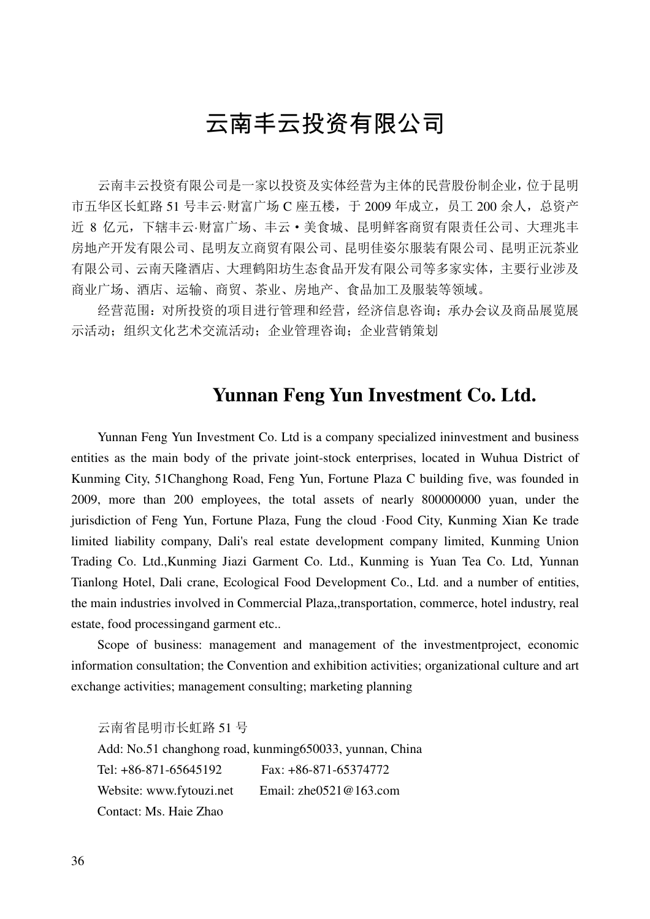# 云南丰云投资有限公司

云南丰云投资有限公司是一家以投资及实体经营为主体的民营股份制企业,位于昆明 市五华区长虹路 51 号丰云·财富广场 C 座五楼, 于 2009 年成立, 员工 200 余人, 总资产 近 8 亿元,下辖丰云·财富广场、丰云·美食城、昆明鲜客商贸有限责任公司、大理兆丰 房地产开发有限公司、昆明友立商贸有限公司、昆明佳姿尔服装有限公司、昆明正沅茶业 有限公司、云南天隆酒店、大理鹤阳坊生态食品开发有限公司等多家实体,主要行业涉及 商业广场、酒店、运输、商贸、茶业、房地产、食品加工及服装等领域。

经营范围: 对所投资的项目进行管理和经营, 经济信息咨询; 承办会议及商品展览展 示活动; 组织文化艺术交流活动; 企业管理咨询; 企业营销策划

#### **Yunnan Feng Yun Investment Co. Ltd.**

Yunnan Feng Yun Investment Co. Ltd is a company specialized ininvestment and business entities as the main body of the private joint-stock enterprises, located in Wuhua District of Kunming City, 51Changhong Road, Feng Yun, Fortune Plaza C building five, was founded in 2009, more than 200 employees, the total assets of nearly 800000000 yuan, under the jurisdiction of Feng Yun, Fortune Plaza, Fung the cloud ·Food City, Kunming Xian Ke trade limited liability company, Dali's real estate development company limited, Kunming Union Trading Co. Ltd.,Kunming Jiazi Garment Co. Ltd., Kunming is Yuan Tea Co. Ltd, Yunnan Tianlong Hotel, Dali crane, Ecological Food Development Co., Ltd. and a number of entities, the main industries involved in Commercial Plaza,,transportation, commerce, hotel industry, real estate, food processingand garment etc..

Scope of business: management and management of the investmentproject, economic information consultation; the Convention and exhibition activities; organizational culture and art exchange activities; management consulting; marketing planning

云南省昆明市长虹路 51 号 Add: No.51 changhong road, kunming650033, yunnan, China Tel: +86-871-65645192 Fax: +86-871-65374772 Website: www.fytouzi.net Email: zhe0521@163.com Contact: Ms. Haie Zhao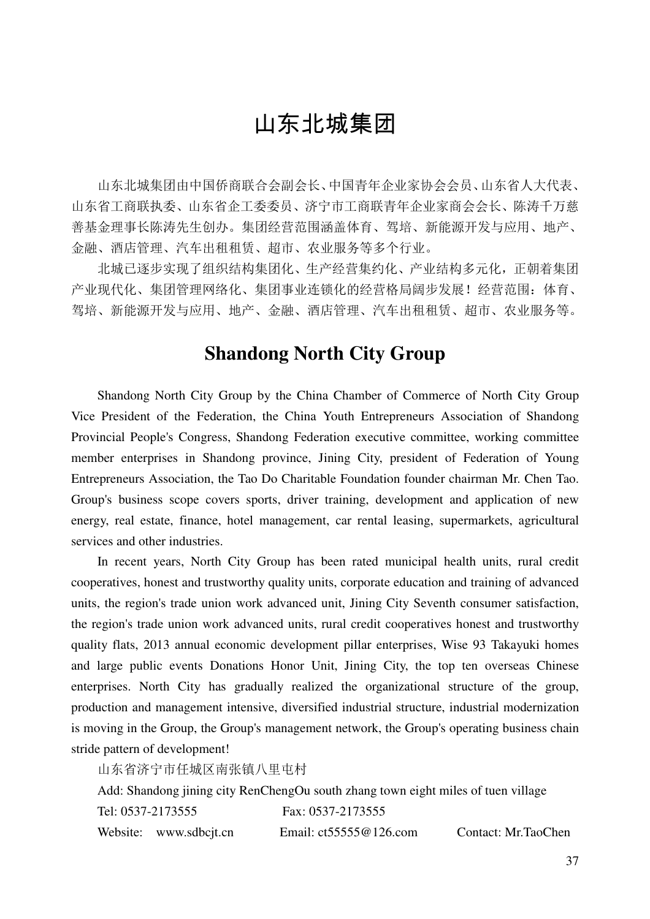### 山东北城集团

山东北城集团由中国侨商联合会副会长、中国青年企业家协会会员、山东省人大代表、 山东省工商联执委、山东省企工委委员、济宁市工商联青年企业家商会会长、陈涛千万慈 善基金理事长陈涛先生创办。集团经营范围涵盖体育、驾培、新能源开发与应用、地产、 金融、酒店管理、汽车出租租赁、超市、农业服务等多个行业。

北城已逐步实现了组织结构集团化、生产经营集约化、产业结构多元化,正朝着集团 产业现代化、集团管理网络化、集团事业连锁化的经营格局阔步发展!经营范围:体育、 驾培、新能源开发与应用、地产、金融、酒店管理、汽车出租租赁、超市、农业服务等。

#### **Shandong North City Group**

Shandong North City Group by the China Chamber of Commerce of North City Group Vice President of the Federation, the China Youth Entrepreneurs Association of Shandong Provincial People's Congress, Shandong Federation executive committee, working committee member enterprises in Shandong province, Jining City, president of Federation of Young Entrepreneurs Association, the Tao Do Charitable Foundation founder chairman Mr. Chen Tao. Group's business scope covers sports, driver training, development and application of new energy, real estate, finance, hotel management, car rental leasing, supermarkets, agricultural services and other industries.

In recent years, North City Group has been rated municipal health units, rural credit cooperatives, honest and trustworthy quality units, corporate education and training of advanced units, the region's trade union work advanced unit, Jining City Seventh consumer satisfaction, the region's trade union work advanced units, rural credit cooperatives honest and trustworthy quality flats, 2013 annual economic development pillar enterprises, Wise 93 Takayuki homes and large public events Donations Honor Unit, Jining City, the top ten overseas Chinese enterprises. North City has gradually realized the organizational structure of the group, production and management intensive, diversified industrial structure, industrial modernization is moving in the Group, the Group's management network, the Group's operating business chain stride pattern of development!

山东省济宁市任城区南张镇八里屯村

Add: Shandong jining city RenChengOu south zhang town eight miles of tuen village Tel: 0537-2173555 Fax: 0537-2173555 Website: www.sdbcjt.cn Email: ct55555@126.com Contact: Mr.TaoChen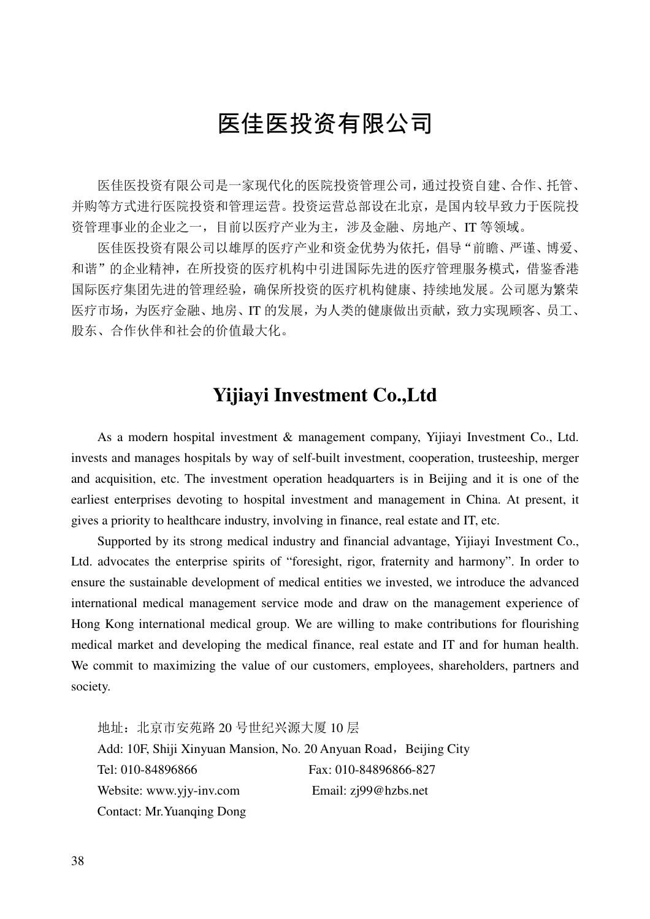# 医佳医投资有限公司

医佳医投资有限公司是一家现代化的医院投资管理公司,通过投资自建、合作、托管、 并购等方式进行医院投资和管理运营。投资运营总部设在北京,是国内较早致力于医院投 资管理事业的企业之一,目前以医疗产业为主,涉及金融、房地产、IT 等领域。

医佳医投资有限公司以雄厚的医疗产业和资金优势为依托,倡导"前瞻、严谨、博爱、 和谐"的企业精神,在所投资的医疗机构中引进国际先进的医疗管理服务模式,借鉴香港 国际医疗集团先进的管理经验,确保所投资的医疗机构健康、持续地发展。公司愿为繁荣 医疗市场,为医疗金融、地房、IT 的发展,为人类的健康做出贡献,致力实现顾客、员工、 股东、合作伙伴和社会的价值最大化。

#### **Yijiayi Investment Co.,Ltd**

As a modern hospital investment & management company, Yijiayi Investment Co., Ltd. invests and manages hospitals by way of self-built investment, cooperation, trusteeship, merger and acquisition, etc. The investment operation headquarters is in Beijing and it is one of the earliest enterprises devoting to hospital investment and management in China. At present, it gives a priority to healthcare industry, involving in finance, real estate and IT, etc.

Supported by its strong medical industry and financial advantage, Yijiayi Investment Co., Ltd. advocates the enterprise spirits of "foresight, rigor, fraternity and harmony". In order to ensure the sustainable development of medical entities we invested, we introduce the advanced international medical management service mode and draw on the management experience of Hong Kong international medical group. We are willing to make contributions for flourishing medical market and developing the medical finance, real estate and IT and for human health. We commit to maximizing the value of our customers, employees, shareholders, partners and society.

地址:北京市安苑路 20 号世纪兴源大厦 10 层 Add: 10F, Shiji Xinyuan Mansion, No. 20 Anyuan Road, Beijing City Tel: 010-84896866 Fax: 010-84896866-827 Website: www.yjy-inv.com Email: zj99@hzbs.net Contact: Mr.Yuanqing Dong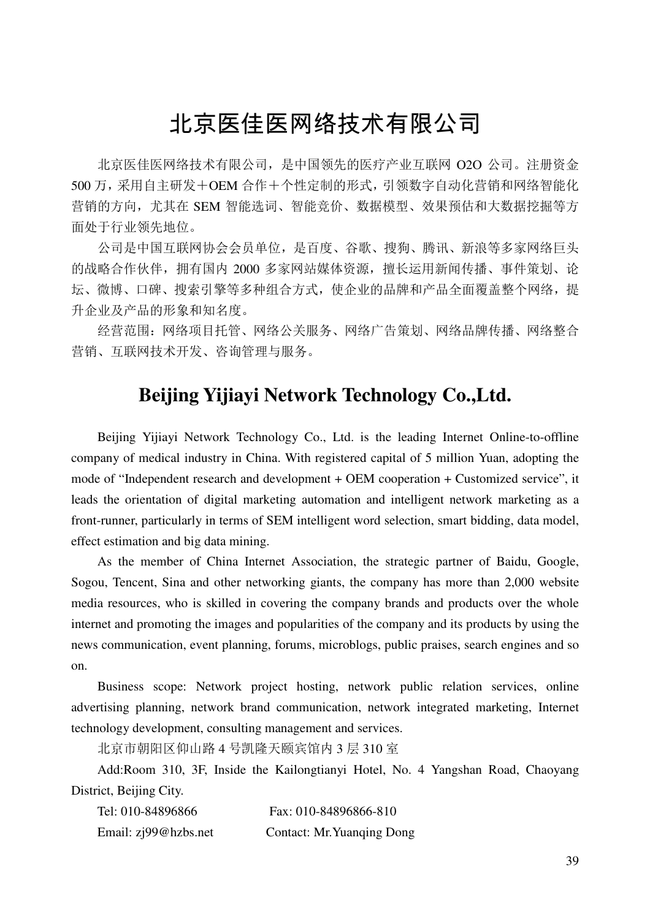# 北京医佳医网络技术有限公司

北京医佳医网络技术有限公司,是中国领先的医疗产业互联网 O2O 公司。注册资金 500 万,采用自主研发+OEM 合作+个性定制的形式,引领数字自动化营销和网络智能化 营销的方向,尤其在 SEM 智能选词、智能竞价、数据模型、效果预估和大数据挖掘等方 面处于行业领先地位。

公司是中国互联网协会会员单位,是百度、谷歌、搜狗、腾讯、新浪等多家网络巨头 的战略合作伙伴,拥有国内 2000 多家网站媒体资源,擅长运用新闻传播、事件策划、论 坛、微博、口碑、搜索引擎等多种组合方式,使企业的品牌和产品全面覆盖整个网络,提 升企业及产品的形象和知名度。

经营范围:网络项目托管、网络公关服务、网络广告策划、网络品牌传播、网络整合 营销、互联网技术开发、咨询管理与服务。

#### **Beijing Yijiayi Network Technology Co.,Ltd.**

Beijing Yijiayi Network Technology Co., Ltd. is the leading Internet Online-to-offline company of medical industry in China. With registered capital of 5 million Yuan, adopting the mode of "Independent research and development + OEM cooperation + Customized service", it leads the orientation of digital marketing automation and intelligent network marketing as a front-runner, particularly in terms of SEM intelligent word selection, smart bidding, data model, effect estimation and big data mining.

As the member of China Internet Association, the strategic partner of Baidu, Google, Sogou, Tencent, Sina and other networking giants, the company has more than 2,000 website media resources, who is skilled in covering the company brands and products over the whole internet and promoting the images and popularities of the company and its products by using the news communication, event planning, forums, microblogs, public praises, search engines and so on.

Business scope: Network project hosting, network public relation services, online advertising planning, network brand communication, network integrated marketing, Internet technology development, consulting management and services.

北京市朝阳区仰山路 4 号凯隆天颐宾馆内 3 层 310 室

Add:Room 310, 3F, Inside the Kailongtianyi Hotel, No. 4 Yangshan Road, Chaoyang District, Beijing City.

| Tel: 010-84896866    | Fax: 010-84896866-810      |
|----------------------|----------------------------|
| Email: zj99@hzbs.net | Contact: Mr. Yuanqing Dong |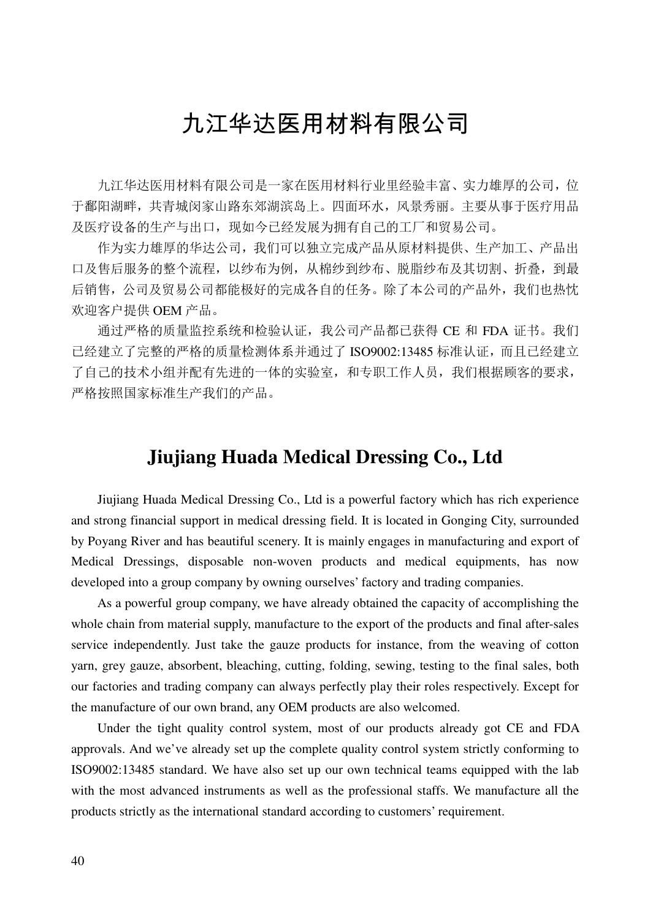# 九江华达医用材料有限公司

九江华达医用材料有限公司是一家在医用材料行业里经验丰富、实力雄厚的公司,位 于鄱阳湖畔,共青城闵家山路东郊湖滨岛上。四面环水,风景秀丽。主要从事于医疗用品 及医疗设备的生产与出口,现如今已经发展为拥有自己的工厂和贸易公司。

作为实力雄厚的华达公司,我们可以独立完成产品从原材料提供、生产加工、产品出 口及售后服务的整个流程,以纱布为例,从棉纱到纱布、脱脂纱布及其切割、折叠,到最 后销售,公司及贸易公司都能极好的完成各自的任务。除了本公司的产品外,我们也热忱 欢迎客户提供 OEM 产品。

通过严格的质量监控系统和检验认证,我公司产品都已获得 CE 和 FDA 证书。我们 已经建立了完整的严格的质量检测体系并通过了 ISO9002:13485 标准认证,而且已经建立 了自己的技术小组并配有先进的一体的实验室,和专职工作人员,我们根据顾客的要求, 严格按照国家标准生产我们的产品。

#### **Jiujiang Huada Medical Dressing Co., Ltd**

Jiujiang Huada Medical Dressing Co., Ltd is a powerful factory which has rich experience and strong financial support in medical dressing field. It is located in Gonging City, surrounded by Poyang River and has beautiful scenery. It is mainly engages in manufacturing and export of Medical Dressings, disposable non-woven products and medical equipments, has now developed into a group company by owning ourselves' factory and trading companies.

As a powerful group company, we have already obtained the capacity of accomplishing the whole chain from material supply, manufacture to the export of the products and final after-sales service independently. Just take the gauze products for instance, from the weaving of cotton yarn, grey gauze, absorbent, bleaching, cutting, folding, sewing, testing to the final sales, both our factories and trading company can always perfectly play their roles respectively. Except for the manufacture of our own brand, any OEM products are also welcomed.

Under the tight quality control system, most of our products already got CE and FDA approvals. And we've already set up the complete quality control system strictly conforming to ISO9002:13485 standard. We have also set up our own technical teams equipped with the lab with the most advanced instruments as well as the professional staffs. We manufacture all the products strictly as the international standard according to customers' requirement.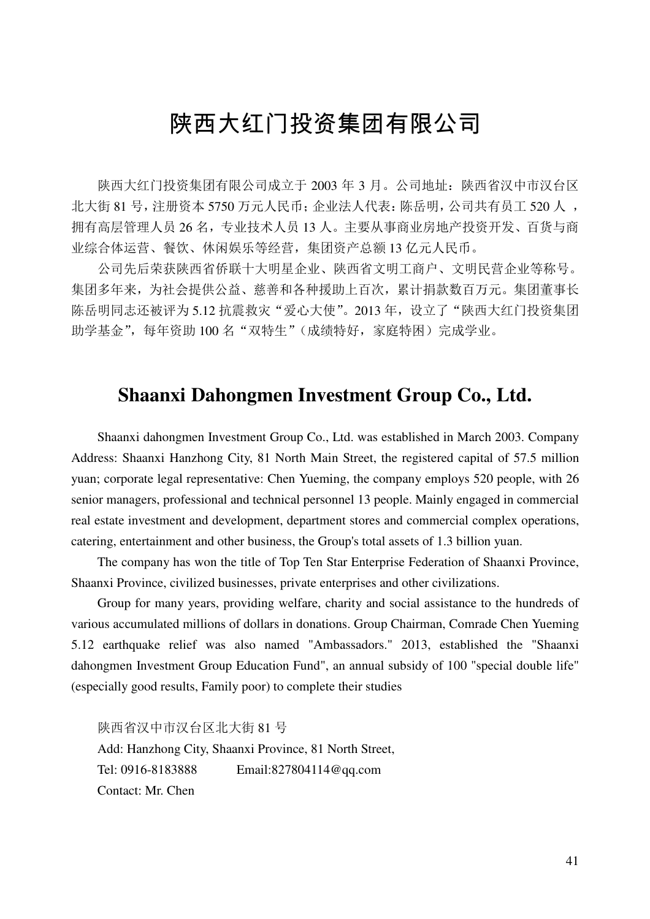## 陕西大红门投资集团有限公司

陕西大红门投资集团有限公司成立于 2003 年 3 月。公司地址:陕西省汉中市汉台区 北大街 81号,注册资本 5750 万元人民币; 企业法人代表: 陈岳明, 公司共有员工 520 人, 拥有高层管理人员 26 名,专业技术人员 13 人。主要从事商业房地产投资开发、百货与商 业综合体运营、餐饮、休闲娱乐等经营,集团资产总额 13 亿元人民币。

公司先后荣获陕西省侨联十大明星企业、陕西省文明工商户、文明民营企业等称号。 集团多年来,为社会提供公益、慈善和各种援助上百次,累计捐款数百万元。集团董事长 陈岳明同志还被评为 5.12 抗震救灾"爱心大使"。2013 年,设立了"陕西大红门投资集团 助学基金",每年资助 100 名"双特生"(成绩特好,家庭特困)完成学业。

#### **Shaanxi Dahongmen Investment Group Co., Ltd.**

Shaanxi dahongmen Investment Group Co., Ltd. was established in March 2003. Company Address: Shaanxi Hanzhong City, 81 North Main Street, the registered capital of 57.5 million yuan; corporate legal representative: Chen Yueming, the company employs 520 people, with 26 senior managers, professional and technical personnel 13 people. Mainly engaged in commercial real estate investment and development, department stores and commercial complex operations, catering, entertainment and other business, the Group's total assets of 1.3 billion yuan.

The company has won the title of Top Ten Star Enterprise Federation of Shaanxi Province, Shaanxi Province, civilized businesses, private enterprises and other civilizations.

Group for many years, providing welfare, charity and social assistance to the hundreds of various accumulated millions of dollars in donations. Group Chairman, Comrade Chen Yueming 5.12 earthquake relief was also named "Ambassadors." 2013, established the "Shaanxi dahongmen Investment Group Education Fund", an annual subsidy of 100 "special double life" (especially good results, Family poor) to complete their studies

陕西省汉中市汉台区北大街 81 号

Add: Hanzhong City, Shaanxi Province, 81 North Street, Tel: 0916-8183888 Email:827804114@qq.com Contact: Mr. Chen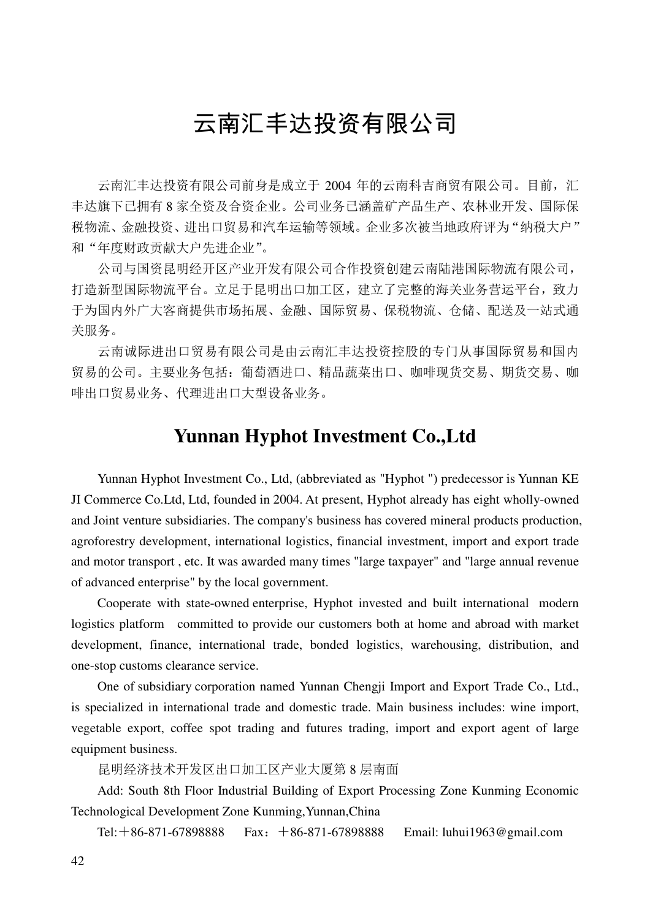# 云南汇丰达投资有限公司

云南汇丰达投资有限公司前身是成立于 2004 年的云南科吉商贸有限公司。目前,汇 丰达旗下已拥有 8 家全资及合资企业。公司业务已涵盖矿产品生产、农林业开发、国际保 税物流、金融投资、进出口贸易和汽车运输等领域。企业多次被当地政府评为"纳税大户" 和"年度财政贡献大户先进企业"。

公司与国资昆明经开区产业开发有限公司合作投资创建云南陆港国际物流有限公司, 打造新型国际物流平台。立足于昆明出口加工区,建立了完整的海关业务营运平台,致力 于为国内外广大客商提供市场拓展、金融、国际贸易、保税物流、仓储、配送及一站式通 关服务。

云南诚际进出口贸易有限公司是由云南汇丰达投资控股的专门从事国际贸易和国内 贸易的公司。主要业务包括:葡萄酒进口、精品蔬菜出口、咖啡现货交易、期货交易、咖 啡出口贸易业务、代理进出口大型设备业务。

#### **Yunnan Hyphot Investment Co.,Ltd**

Yunnan Hyphot Investment Co., Ltd, (abbreviated as "Hyphot ") predecessor is Yunnan KE JI Commerce Co.Ltd, Ltd, founded in 2004. At present, Hyphot already has eight wholly-owned and Joint venture subsidiaries. The company's business has covered mineral products production, agroforestry development, international logistics, financial investment, import and export trade and motor transport , etc. It was awarded many times "large taxpayer" and "large annual revenue of advanced enterprise" by the local government.

Cooperate with state-owned enterprise, Hyphot invested and built international modern logistics platform committed to provide our customers both at home and abroad with market development, finance, international trade, bonded logistics, warehousing, distribution, and one-stop customs clearance service.

One of subsidiary corporation named Yunnan Chengji Import and Export Trade Co., Ltd., is specialized in international trade and domestic trade. Main business includes: wine import, vegetable export, coffee spot trading and futures trading, import and export agent of large equipment business.

昆明经济技术开发区出口加工区产业大厦第 8 层南面

Add: South 8th Floor Industrial Building of Export Processing Zone Kunming Economic Technological Development Zone Kunming,Yunnan,China

Tel: $+86-871-67898888$  Fax:  $+86-871-67898888$  Email: luhui1963@gmail.com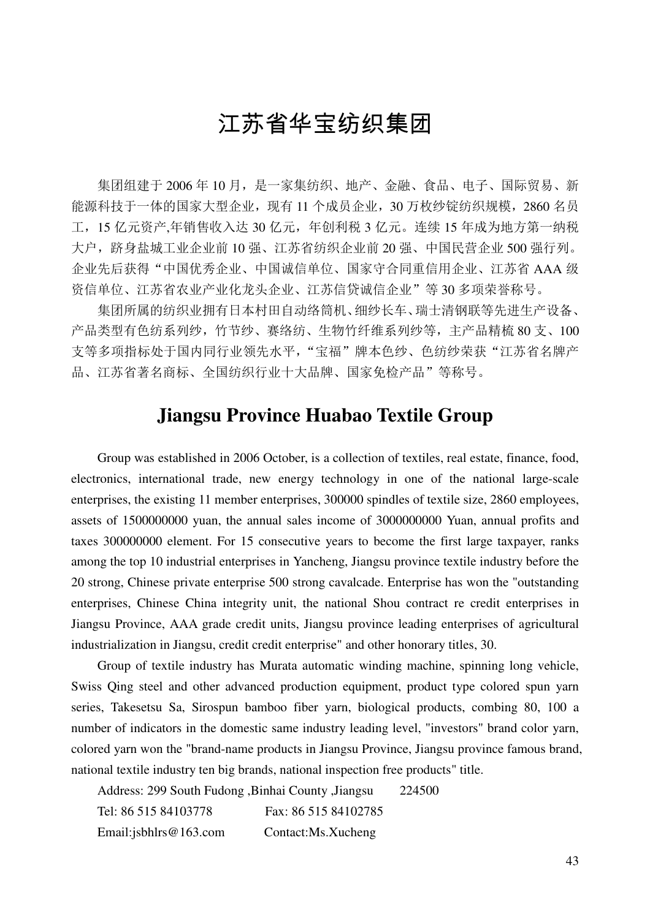### 江苏省华宝纺织集团

集团组建于 2006年10月,是一家集纺织、地产、金融、食品、电子、国际贸易、新 能源科技于一体的国家大型企业,现有11个成员企业,30 万枚纱锭纺织规模,2860 名员 工,15 亿元资产,年销售收入达 30 亿元,年创利税 3 亿元。连续 15 年成为地方第一纳税 大户,跻身盐城工业企业前 10 强、江苏省纺织企业前 20 强、中国民营企业 500 强行列。 企业先后获得"中国优秀企业、中国诚信单位、国家守合同重信用企业、江苏省 AAA 级 资信单位、江苏省农业产业化龙头企业、江苏信贷诚信企业"等 30 多项荣誉称号。

集团所属的纺织业拥有日本村田自动络筒机、细纱长车、瑞士清钢联等先进生产设备、 产品类型有色纺系列纱,竹节纱、赛络纺、生物竹纤维系列纱等,主产品精梳 80 支、100 支等多项指标处于国内同行业领先水平,"宝福"牌本色纱、色纺纱荣获"江苏省名牌产 品、江苏省著名商标、全国纺织行业十大品牌、国家免检产品"等称号。

### **Jiangsu Province Huabao Textile Group**

Group was established in 2006 October, is a collection of textiles, real estate, finance, food, electronics, international trade, new energy technology in one of the national large-scale enterprises, the existing 11 member enterprises, 300000 spindles of textile size, 2860 employees, assets of 1500000000 yuan, the annual sales income of 3000000000 Yuan, annual profits and taxes 300000000 element. For 15 consecutive years to become the first large taxpayer, ranks among the top 10 industrial enterprises in Yancheng, Jiangsu province textile industry before the 20 strong, Chinese private enterprise 500 strong cavalcade. Enterprise has won the "outstanding enterprises, Chinese China integrity unit, the national Shou contract re credit enterprises in Jiangsu Province, AAA grade credit units, Jiangsu province leading enterprises of agricultural industrialization in Jiangsu, credit credit enterprise" and other honorary titles, 30.

Group of textile industry has Murata automatic winding machine, spinning long vehicle, Swiss Qing steel and other advanced production equipment, product type colored spun yarn series, Takesetsu Sa, Sirospun bamboo fiber yarn, biological products, combing 80, 100 a number of indicators in the domestic same industry leading level, "investors" brand color yarn, colored yarn won the "brand-name products in Jiangsu Province, Jiangsu province famous brand, national textile industry ten big brands, national inspection free products" title.

Address: 299 South Fudong ,Binhai County ,Jiangsu 224500 Tel: 86 515 84103778 Fax: 86 515 84102785 Email:jsbhlrs@163.com Contact:Ms.Xucheng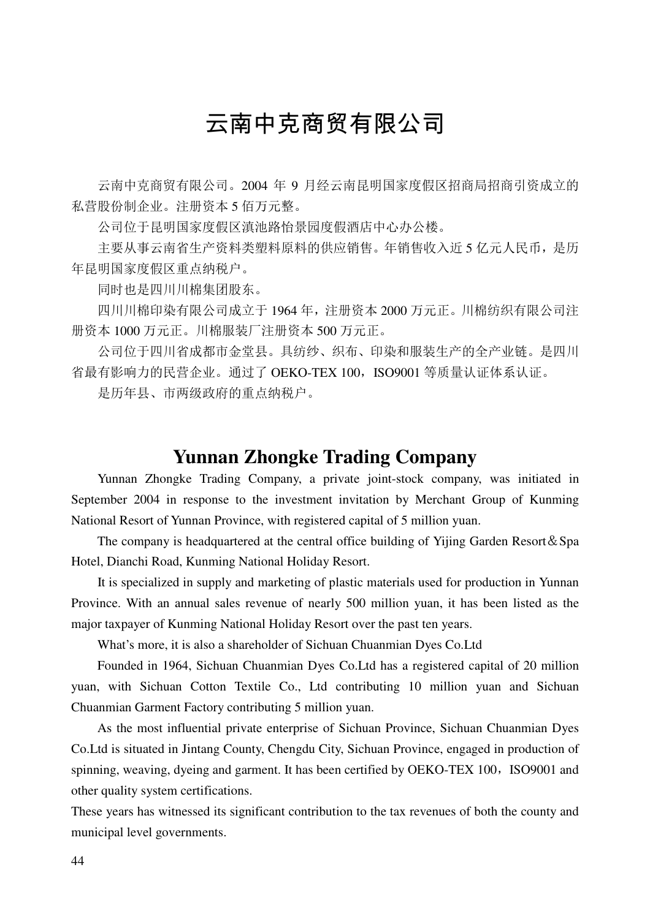# 云南中克商贸有限公司

云南中克商贸有限公司。2004 年 9 月经云南昆明国家度假区招商局招商引资成立的 私营股份制企业。注册资本 5 佰万元整。

公司位于昆明国家度假区滇池路怡景园度假酒店中心办公楼。

主要从事云南省生产资料类塑料原料的供应销售。年销售收入近 5 亿元人民币,是历 年昆明国家度假区重点纳税户。

同时也是四川川棉集团股东。

四川川棉印染有限公司成立于 1964 年,注册资本 2000 万元正。川棉纺织有限公司注 册资本 1000 万元正。川棉服装厂注册资本 500 万元正。

公司位于四川省成都市金堂县。具纺纱、织布、印染和服装生产的全产业链。是四川 省最有影响力的民营企业。通过了 OEKO-TEX 100, ISO9001 等质量认证体系认证。

是历年县、市两级政府的重点纳税户。

#### **Yunnan Zhongke Trading Company**

Yunnan Zhongke Trading Company, a private joint-stock company, was initiated in September 2004 in response to the investment invitation by Merchant Group of Kunming National Resort of Yunnan Province, with registered capital of 5 million yuan.

 The company is headquartered at the central office building of Yijing Garden Resort&Spa Hotel, Dianchi Road, Kunming National Holiday Resort.

 It is specialized in supply and marketing of plastic materials used for production in Yunnan Province. With an annual sales revenue of nearly 500 million yuan, it has been listed as the major taxpayer of Kunming National Holiday Resort over the past ten years.

What's more, it is also a shareholder of Sichuan Chuanmian Dyes Co.Ltd

 Founded in 1964, Sichuan Chuanmian Dyes Co.Ltd has a registered capital of 20 million yuan, with Sichuan Cotton Textile Co., Ltd contributing 10 million yuan and Sichuan Chuanmian Garment Factory contributing 5 million yuan.

 As the most influential private enterprise of Sichuan Province, Sichuan Chuanmian Dyes Co.Ltd is situated in Jintang County, Chengdu City, Sichuan Province, engaged in production of spinning, weaving, dyeing and garment. It has been certified by OEKO-TEX 100, ISO9001 and other quality system certifications.

These years has witnessed its significant contribution to the tax revenues of both the county and municipal level governments.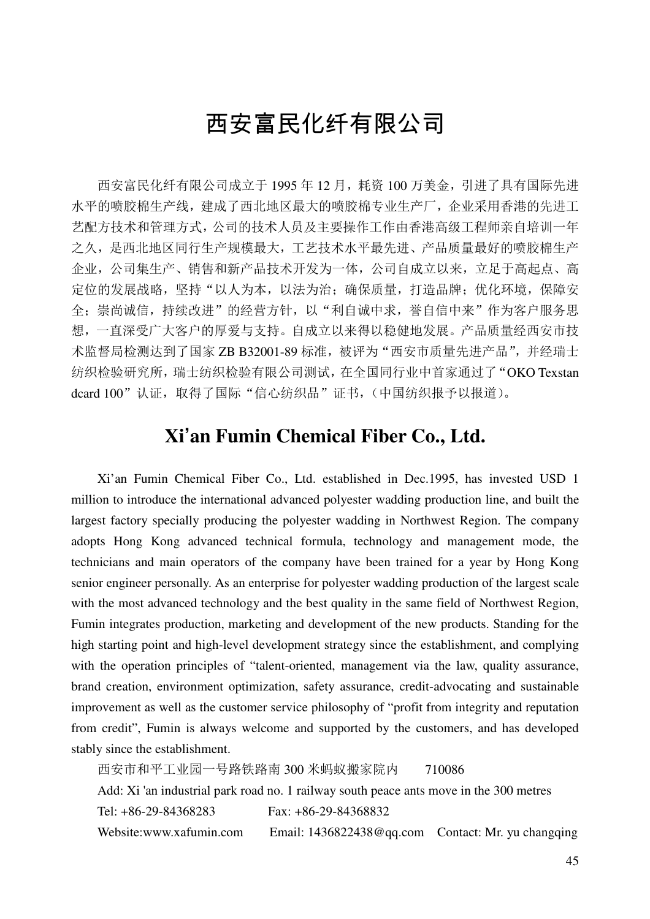# 西安富民化纤有限公司

西安富民化纤有限公司成立于 1995 年 12 月,耗资 100 万美金,引进了具有国际先进 水平的喷胶棉生产线,建成了西北地区最大的喷胶棉专业生产厂,企业采用香港的先进工 艺配方技术和管理方式,公司的技术人员及主要操作工作由香港高级工程师亲自培训一年 之久,是西北地区同行生产规模最大,工艺技术水平最先进、产品质量最好的喷胶棉生产 企业,公司集生产、销售和新产品技术开发为一体,公司自成立以来,立足于高起点、高 定位的发展战略,坚持"以人为本,以法为治;确保质量,打造品牌;优化环境,保障安 全;崇尚诚信,持续改进"的经营方针,以"利自诚中求,誉自信中来"作为客户服务思 想,一直深受广大客户的厚爱与支持。自成立以来得以稳健地发展。产品质量经西安市技 术监督局检测达到了国家 ZB B32001-89 标准, 被评为"西安市质量先进产品", 并经瑞士 纺织检验研究所,瑞士纺织检验有限公司测试,在全国同行业中首家通过了"OKO Texstan dcard 100"认证, 取得了国际"信心纺织品"证书,(中国纺织报予以报道)。

#### **Xi'an Fumin Chemical Fiber Co., Ltd.**

Xi'an Fumin Chemical Fiber Co., Ltd. established in Dec.1995, has invested USD 1 million to introduce the international advanced polyester wadding production line, and built the largest factory specially producing the polyester wadding in Northwest Region. The company adopts Hong Kong advanced technical formula, technology and management mode, the technicians and main operators of the company have been trained for a year by Hong Kong senior engineer personally. As an enterprise for polyester wadding production of the largest scale with the most advanced technology and the best quality in the same field of Northwest Region, Fumin integrates production, marketing and development of the new products. Standing for the high starting point and high-level development strategy since the establishment, and complying with the operation principles of "talent-oriented, management via the law, quality assurance, brand creation, environment optimization, safety assurance, credit-advocating and sustainable improvement as well as the customer service philosophy of "profit from integrity and reputation from credit", Fumin is always welcome and supported by the customers, and has developed stably since the establishment.

西安市和平工业园一号路铁路南 300 米蚂蚁搬家院内710086 Add: Xi 'an industrial park road no. 1 railway south peace ants move in the 300 metres Tel: +86-29-84368283 Fax: +86-29-84368832 Website:www.xafumin.com Email: 1436822438@qq.com Contact: Mr. yu changqing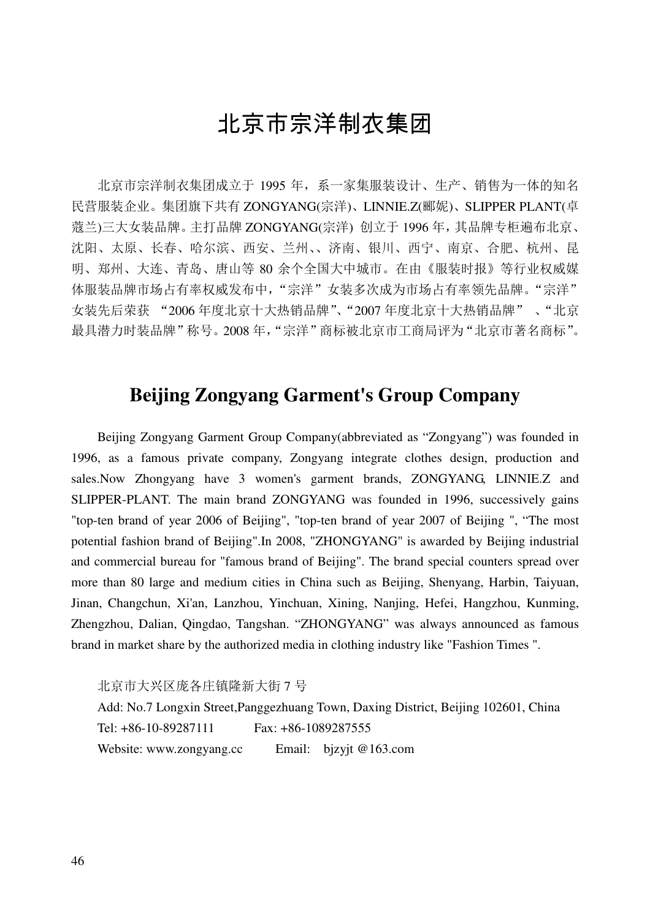## 北京市宗洋制衣集团

北京市宗洋制衣集团成立于 1995 年,系一家集服装设计、生产、销售为一体的知名 民营服装企业。集团旗下共有 ZONGYANG(宗洋)、LINNIE.Z(郦妮)、SLIPPER PLANT(卓 蔻兰)三大女装品牌。主打品牌 ZONGYANG(宗洋) 创立于 1996 年,其品牌专柜遍布北京、 沈阳、太原、长春、哈尔滨、西安、兰州、、济南、银川、西宁、南京、合肥、杭州、昆 明、郑州、大连、青岛、唐山等 80 余个全国大中城市。在由《服装时报》等行业权威媒 体服装品牌市场占有率权威发布中,"宗洋"女装多次成为市场占有率领先品牌。"宗洋" 女装先后荣获 "2006 年度北京十大热销品牌"、"2007 年度北京十大热销品牌" 、"北京 最具潜力时装品牌"称号。2008年,"宗洋"商标被北京市工商局评为"北京市著名商标"。

### **Beijing Zongyang Garment's Group Company**

Beijing Zongyang Garment Group Company(abbreviated as "Zongyang") was founded in 1996, as a famous private company, Zongyang integrate clothes design, production and sales.Now Zhongyang have 3 women's garment brands, ZONGYANG, LINNIE.Z and SLIPPER-PLANT. The main brand ZONGYANG was founded in 1996, successively gains "top-ten brand of year 2006 of Beijing", "top-ten brand of year 2007 of Beijing ", "The most potential fashion brand of Beijing".In 2008, "ZHONGYANG" is awarded by Beijing industrial and commercial bureau for "famous brand of Beijing". The brand special counters spread over more than 80 large and medium cities in China such as Beijing, Shenyang, Harbin, Taiyuan, Jinan, Changchun, Xi'an, Lanzhou, Yinchuan, Xining, Nanjing, Hefei, Hangzhou, Kunming, Zhengzhou, Dalian, Qingdao, Tangshan. "ZHONGYANG" was always announced as famous brand in market share by the authorized media in clothing industry like "Fashion Times ".

北京市大兴区庞各庄镇隆新大街 7 号

Add: No.7 Longxin Street,Panggezhuang Town, Daxing District, Beijing 102601, China Tel: +86-10-89287111 Fax: +86-1089287555 Website: www.zongyang.cc Email: bjzyjt @163.com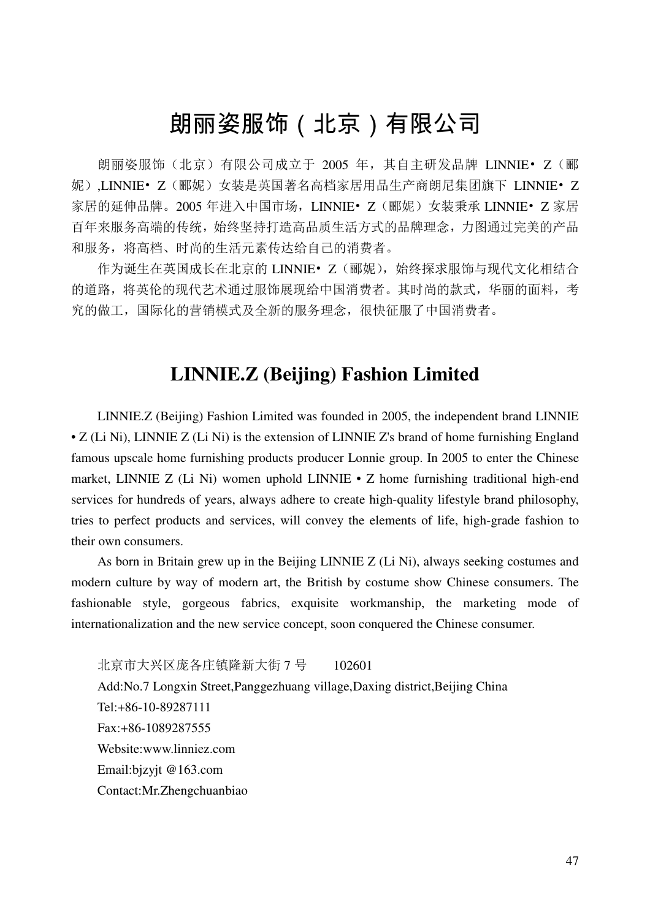# 朗丽姿服饰(北京)有限公司

朗丽姿服饰(北京)有限公司成立于 2005 年, 其自主研发品牌 LINNIE· Z (郦 妮),LINNIE• Z(郦妮)女装是英国著名高档家居用品生产商朗尼集团旗下 LINNIE• Z 家居的延伸品牌。2005年进入中国市场, LINNIE• Z (郦妮) 女装秉承 LINNIE• Z 家居 百年来服务高端的传统,始终坚持打造高品质生活方式的品牌理念,力图通过完美的产品 和服务,将高档、时尚的生活元素传达给自己的消费者。

作为诞生在英国成长在北京的 LINNIE· Z (郦妮), 始终探求服饰与现代文化相结合 的道路,将英伦的现代艺术通过服饰展现给中国消费者。其时尚的款式,华丽的面料,考 究的做工,国际化的营销模式及全新的服务理念,很快征服了中国消费者。

#### **LINNIE.Z (Beijing) Fashion Limited**

LINNIE.Z (Beijing) Fashion Limited was founded in 2005, the independent brand LINNIE • Z (Li Ni), LINNIE Z (Li Ni) is the extension of LINNIE Z's brand of home furnishing England famous upscale home furnishing products producer Lonnie group. In 2005 to enter the Chinese market, LINNIE Z (Li Ni) women uphold LINNIE • Z home furnishing traditional high-end services for hundreds of years, always adhere to create high-quality lifestyle brand philosophy, tries to perfect products and services, will convey the elements of life, high-grade fashion to their own consumers.

As born in Britain grew up in the Beijing LINNIE Z (Li Ni), always seeking costumes and modern culture by way of modern art, the British by costume show Chinese consumers. The fashionable style, gorgeous fabrics, exquisite workmanship, the marketing mode of internationalization and the new service concept, soon conquered the Chinese consumer.

北京市大兴区庞各庄镇隆新大街 7 号 102601 Add:No.7 Longxin Street,Panggezhuang village,Daxing district,Beijing China Tel:+86-10-89287111 Fax:+86-1089287555 Website:www.linniez.com Email:bjzyjt @163.com Contact:Mr.Zhengchuanbiao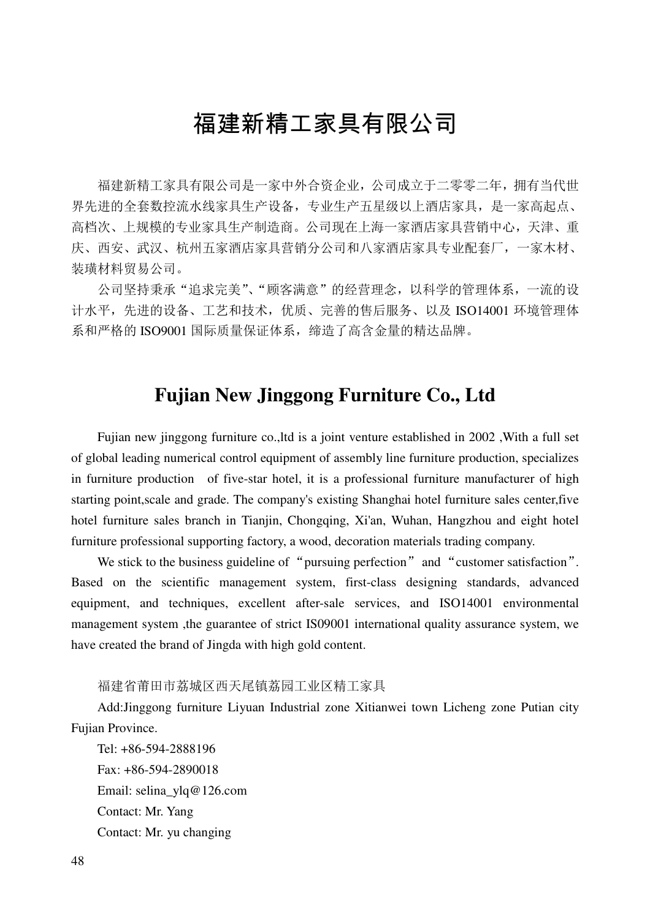# 福建新精工家具有限公司

福建新精工家具有限公司是一家中外合资企业,公司成立于二零零二年,拥有当代世 界先进的全套数控流水线家具生产设备,专业生产五星级以上酒店家具,是一家高起点、 高档次、上规模的专业家具生产制造商。公司现在上海一家酒店家具营销中心,天津、重 庆、西安、武汉、杭州五家酒店家具营销分公司和八家酒店家具专业配套厂,一家木材、 装璜材料贸易公司。

公司坚持秉承"追求完美"、"顾客满意"的经营理念,以科学的管理体系,一流的设 计水平,先进的设备、工艺和技术,优质、完善的售后服务、以及 ISO14001 环境管理体 系和严格的 ISO9001 国际质量保证体系,缔造了高含金量的精达品牌。

### **Fujian New Jinggong Furniture Co., Ltd**

Fujian new jinggong furniture co.,ltd is a joint venture established in 2002 ,With a full set of global leading numerical control equipment of assembly line furniture production, specializes in furniture production of five-star hotel, it is a professional furniture manufacturer of high starting point,scale and grade. The company's existing Shanghai hotel furniture sales center,five hotel furniture sales branch in Tianjin, Chongqing, Xi'an, Wuhan, Hangzhou and eight hotel furniture professional supporting factory, a wood, decoration materials trading company.

We stick to the business guideline of "pursuing perfection" and "customer satisfaction". Based on the scientific management system, first-class designing standards, advanced equipment, and techniques, excellent after-sale services, and ISO14001 environmental management system ,the guarantee of strict IS09001 international quality assurance system, we have created the brand of Jingda with high gold content.

福建省莆田市荔城区西天尾镇荔园工业区精工家具

Add:Jinggong furniture Liyuan Industrial zone Xitianwei town Licheng zone Putian city Fujian Province.

Tel: +86-594-2888196 Fax: +86-594-2890018 Email: selina\_ylq@126.com Contact: Mr. Yang Contact: Mr. yu changing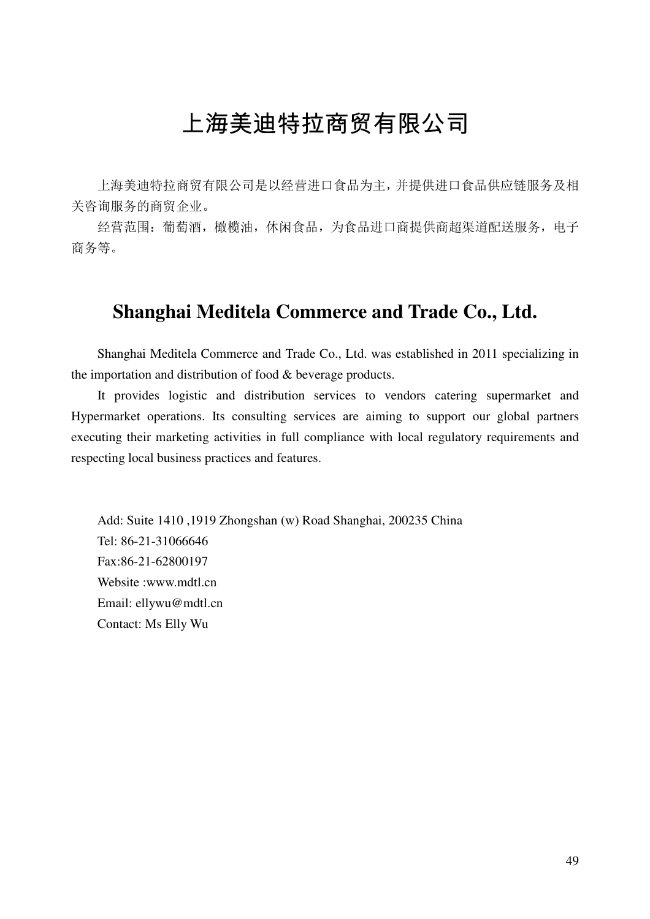### 上海美迪特拉商贸有限公司

上海美迪特拉商贸有限公司是以经营进口食品为主,并提供进口食品供应链服务及相 关咨询服务的商贸企业。

经营范围:葡萄酒,橄榄油,休闲食品,为食品进口商提供商超渠道配送服务,电子 商务等。

### **Shanghai Meditela Commerce and Trade Co., Ltd.**

Shanghai Meditela Commerce and Trade Co., Ltd. was established in 2011 specializing in the importation and distribution of food & beverage products.

It provides logistic and distribution services to vendors catering supermarket and Hypermarket operations. Its consulting services are aiming to support our global partners executing their marketing activities in full compliance with local regulatory requirements and respecting local business practices and features.

Add: Suite 1410 ,1919 Zhongshan (w) Road Shanghai, 200235 China Tel: 86-21-31066646 Fax:86-21-62800197 Website :www.mdtl.cn Email: ellywu@mdtl.cn Contact: Ms Elly Wu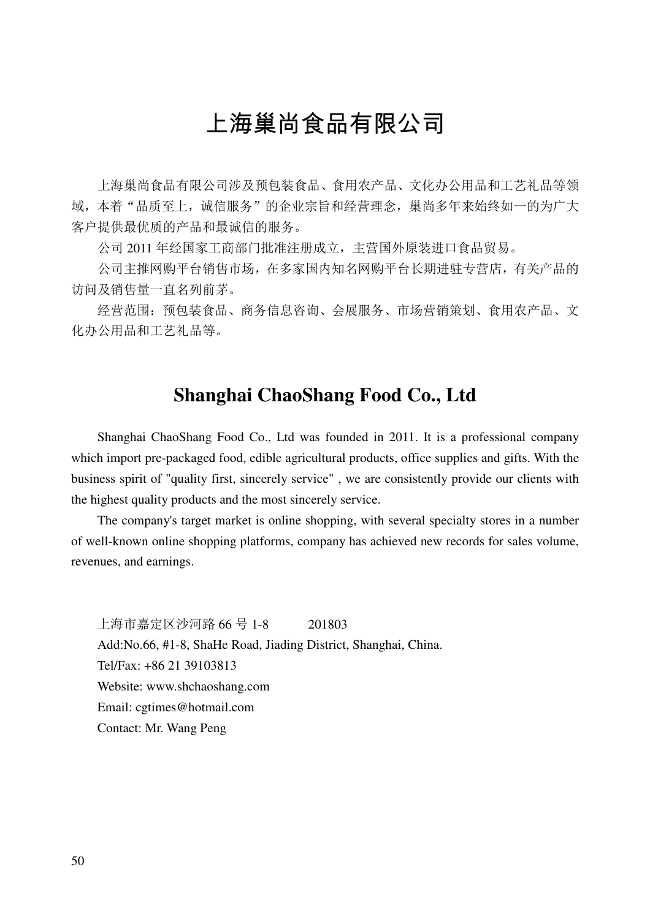## 上海巢尚食品有限公司

上海巢尚食品有限公司涉及预包装食品、食用农产品、文化办公用品和工艺礼品等领 域,本着"品质至上,诚信服务"的企业宗旨和经营理念,巢尚多年来始终如一的为广大 客户提供最优质的产品和最诚信的服务。

公司 2011 年经国家工商部门批准注册成立,主营国外原装进口食品贸易。

公司主推网购平台销售市场,在多家国内知名网购平台长期进驻专营店,有关产品的 访问及销售量一直名列前茅。

经营范围:预包装食品、商务信息咨询、会展服务、市场营销策划、食用农产品、文 化办公用品和工艺礼品等。

#### **Shanghai ChaoShang Food Co., Ltd**

Shanghai ChaoShang Food Co., Ltd was founded in 2011. It is a professional company which import pre-packaged food, edible agricultural products, office supplies and gifts. With the business spirit of "quality first, sincerely service" , we are consistently provide our clients with the highest quality products and the most sincerely service.

The company's target market is online shopping, with several specialty stores in a number of well-known online shopping platforms, company has achieved new records for sales volume, revenues, and earnings.

上海市嘉定区沙河路 66 号 1-8 201803 Add:No.66, #1-8, ShaHe Road, Jiading District, Shanghai, China. Tel/Fax: +86 21 39103813 Website: www.shchaoshang.com Email: cgtimes@hotmail.com Contact: Mr. Wang Peng